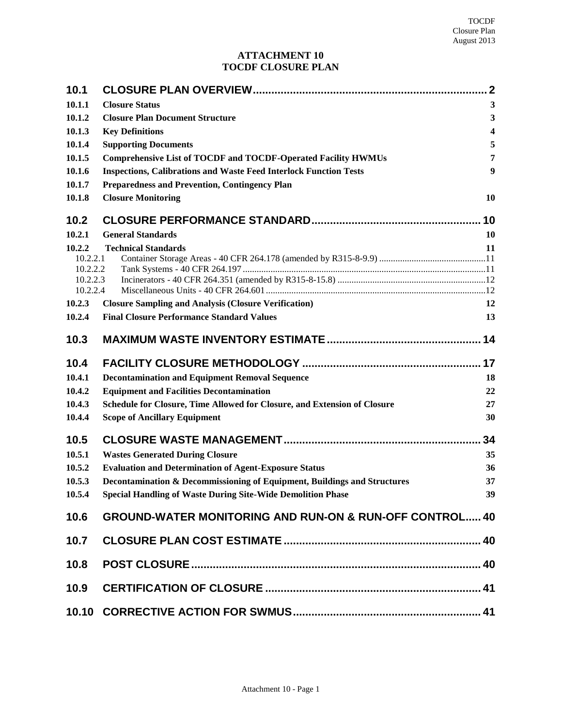# **ATTACHMENT 10 TOCDF CLOSURE PLAN**

| 10.1                 |                                                                          | $\mathbf 2$      |
|----------------------|--------------------------------------------------------------------------|------------------|
| 10.1.1               | <b>Closure Status</b>                                                    | 3                |
| 10.1.2               | <b>Closure Plan Document Structure</b>                                   | $\mathbf{3}$     |
| 10.1.3               | <b>Key Definitions</b>                                                   | 4                |
| 10.1.4               | <b>Supporting Documents</b>                                              | 5                |
| 10.1.5               | <b>Comprehensive List of TOCDF and TOCDF-Operated Facility HWMUs</b>     | 7                |
| 10.1.6               | <b>Inspections, Calibrations and Waste Feed Interlock Function Tests</b> | $\boldsymbol{9}$ |
| 10.1.7               | <b>Preparedness and Prevention, Contingency Plan</b>                     |                  |
| 10.1.8               | <b>Closure Monitoring</b>                                                | 10               |
| 10.2                 |                                                                          | 10               |
| 10.2.1               | <b>General Standards</b>                                                 | 10               |
| 10.2.2               | <b>Technical Standards</b>                                               | 11               |
| 10.2.2.1             |                                                                          |                  |
| 10.2.2.2<br>10.2.2.3 |                                                                          |                  |
| 10.2.2.4             |                                                                          |                  |
| 10.2.3               | <b>Closure Sampling and Analysis (Closure Verification)</b>              | 12               |
| 10.2.4               | <b>Final Closure Performance Standard Values</b>                         | 13               |
| 10.3                 |                                                                          | 14               |
| 10.4                 |                                                                          | 17               |
| 10.4.1               | <b>Decontamination and Equipment Removal Sequence</b>                    | 18               |
| 10.4.2               | <b>Equipment and Facilities Decontamination</b>                          | 22               |
| 10.4.3               | Schedule for Closure, Time Allowed for Closure, and Extension of Closure | 27               |
| 10.4.4               | <b>Scope of Ancillary Equipment</b>                                      | 30               |
| 10.5                 |                                                                          | 34               |
| 10.5.1               | <b>Wastes Generated During Closure</b>                                   | 35               |
| 10.5.2               | <b>Evaluation and Determination of Agent-Exposure Status</b>             | 36               |
| 10.5.3               | Decontamination & Decommissioning of Equipment, Buildings and Structures | 37               |
| 10.5.4               | <b>Special Handling of Waste During Site-Wide Demolition Phase</b>       | 39               |
| 10.6                 | <b>GROUND-WATER MONITORING AND RUN-ON &amp; RUN-OFF CONTROL 40</b>       |                  |
| 10.7                 |                                                                          |                  |
| 10.8                 |                                                                          |                  |
| 10.9                 |                                                                          |                  |
|                      |                                                                          |                  |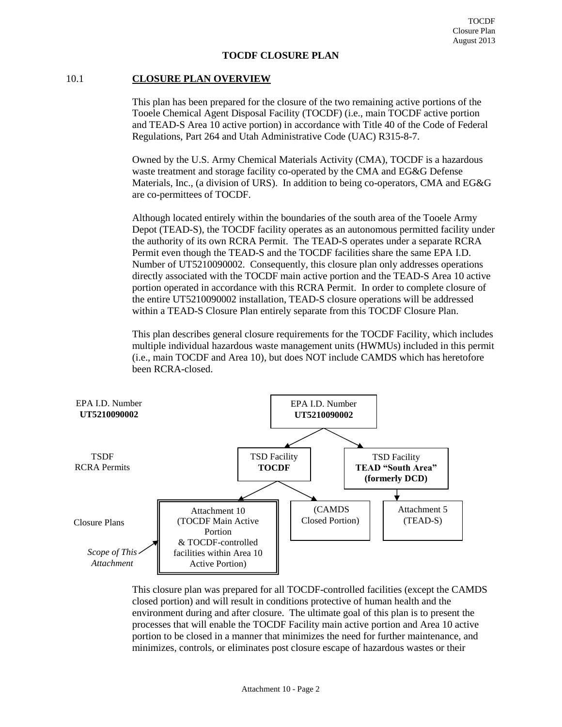## **TOCDF CLOSURE PLAN**

## <span id="page-1-0"></span>10.1 **CLOSURE PLAN OVERVIEW**

This plan has been prepared for the closure of the two remaining active portions of the Tooele Chemical Agent Disposal Facility (TOCDF) (i.e., main TOCDF active portion and TEAD-S Area 10 active portion) in accordance with Title 40 of the Code of Federal Regulations, Part 264 and Utah Administrative Code (UAC) R315-8-7.

Owned by the U.S. Army Chemical Materials Activity (CMA), TOCDF is a hazardous waste treatment and storage facility co-operated by the CMA and EG&G Defense Materials, Inc., (a division of URS). In addition to being co-operators, CMA and EG&G are co-permittees of TOCDF.

Although located entirely within the boundaries of the south area of the Tooele Army Depot (TEAD-S), the TOCDF facility operates as an autonomous permitted facility under the authority of its own RCRA Permit. The TEAD-S operates under a separate RCRA Permit even though the TEAD-S and the TOCDF facilities share the same EPA I.D. Number of UT5210090002. Consequently, this closure plan only addresses operations directly associated with the TOCDF main active portion and the TEAD-S Area 10 active portion operated in accordance with this RCRA Permit. In order to complete closure of the entire UT5210090002 installation, TEAD-S closure operations will be addressed within a TEAD-S Closure Plan entirely separate from this TOCDF Closure Plan.

This plan describes general closure requirements for the TOCDF Facility, which includes multiple individual hazardous waste management units (HWMUs) included in this permit (i.e., main TOCDF and Area 10), but does NOT include CAMDS which has heretofore been RCRA-closed.



This closure plan was prepared for all TOCDF-controlled facilities (except the CAMDS closed portion) and will result in conditions protective of human health and the environment during and after closure. The ultimate goal of this plan is to present the processes that will enable the TOCDF Facility main active portion and Area 10 active portion to be closed in a manner that minimizes the need for further maintenance, and minimizes, controls, or eliminates post closure escape of hazardous wastes or their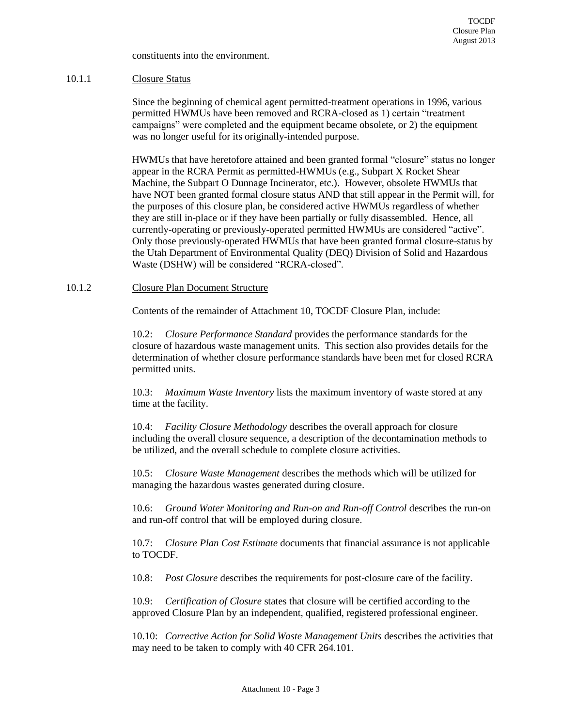constituents into the environment.

## <span id="page-2-0"></span>10.1.1 Closure Status

Since the beginning of chemical agent permitted-treatment operations in 1996, various permitted HWMUs have been removed and RCRA-closed as 1) certain "treatment campaigns" were completed and the equipment became obsolete, or 2) the equipment was no longer useful for its originally-intended purpose.

HWMUs that have heretofore attained and been granted formal "closure" status no longer appear in the RCRA Permit as permitted-HWMUs (e.g., Subpart X Rocket Shear Machine, the Subpart O Dunnage Incinerator, etc.). However, obsolete HWMUs that have NOT been granted formal closure status AND that still appear in the Permit will, for the purposes of this closure plan, be considered active HWMUs regardless of whether they are still in-place or if they have been partially or fully disassembled. Hence, all currently-operating or previously-operated permitted HWMUs are considered "active". Only those previously-operated HWMUs that have been granted formal closure-status by the Utah Department of Environmental Quality (DEQ) Division of Solid and Hazardous Waste (DSHW) will be considered "RCRA-closed".

#### <span id="page-2-1"></span>10.1.2 Closure Plan Document Structure

Contents of the remainder of Attachment 10, TOCDF Closure Plan, include:

10.2: *Closure Performance Standard* provides the performance standards for the closure of hazardous waste management units. This section also provides details for the determination of whether closure performance standards have been met for closed RCRA permitted units.

10.3: *Maximum Waste Inventory* lists the maximum inventory of waste stored at any time at the facility.

10.4: *Facility Closure Methodology* describes the overall approach for closure including the overall closure sequence, a description of the decontamination methods to be utilized, and the overall schedule to complete closure activities.

10.5: *Closure Waste Management* describes the methods which will be utilized for managing the hazardous wastes generated during closure.

10.6: *Ground Water Monitoring and Run-on and Run-off Control* describes the run-on and run-off control that will be employed during closure.

10.7: *Closure Plan Cost Estimate* documents that financial assurance is not applicable to TOCDF.

10.8: *Post Closure* describes the requirements for post-closure care of the facility.

10.9: *Certification of Closure* states that closure will be certified according to the approved Closure Plan by an independent, qualified, registered professional engineer.

10.10: *Corrective Action for Solid Waste Management Units* describes the activities that may need to be taken to comply with 40 CFR 264.101.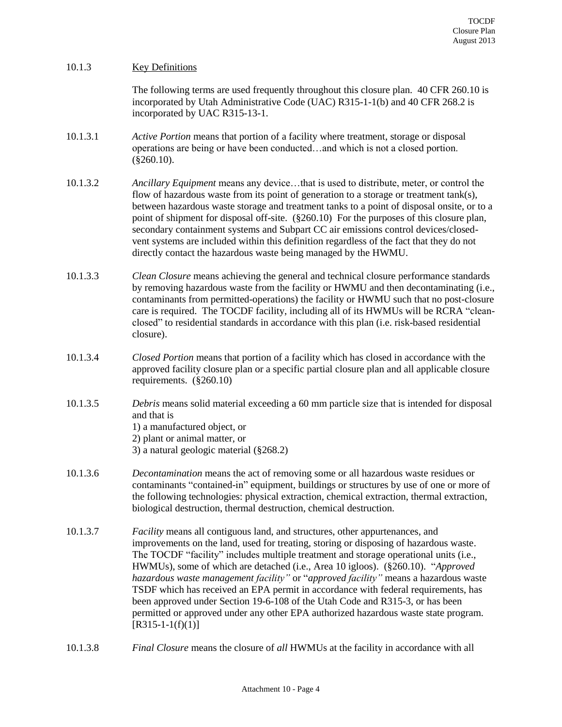## <span id="page-3-0"></span>10.1.3 Key Definitions

The following terms are used frequently throughout this closure plan. 40 CFR 260.10 is incorporated by Utah Administrative Code (UAC) R315-1-1(b) and 40 CFR 268.2 is incorporated by UAC R315-13-1.

- 10.1.3.1 *Active Portion* means that portion of a facility where treatment, storage or disposal operations are being or have been conducted…and which is not a closed portion. (§260.10).
- 10.1.3.2 *Ancillary Equipment* means any device…that is used to distribute, meter, or control the flow of hazardous waste from its point of generation to a storage or treatment tank(s), between hazardous waste storage and treatment tanks to a point of disposal onsite, or to a point of shipment for disposal off-site. (§260.10) For the purposes of this closure plan, secondary containment systems and Subpart CC air emissions control devices/closedvent systems are included within this definition regardless of the fact that they do not directly contact the hazardous waste being managed by the HWMU.
- 10.1.3.3 *Clean Closure* means achieving the general and technical closure performance standards by removing hazardous waste from the facility or HWMU and then decontaminating (i.e., contaminants from permitted-operations) the facility or HWMU such that no post-closure care is required. The TOCDF facility, including all of its HWMUs will be RCRA "cleanclosed" to residential standards in accordance with this plan (i.e. risk-based residential closure).
- 10.1.3.4 *Closed Portion* means that portion of a facility which has closed in accordance with the approved facility closure plan or a specific partial closure plan and all applicable closure requirements. (§260.10)
- 10.1.3.5 *Debris* means solid material exceeding a 60 mm particle size that is intended for disposal and that is
	- 1) a manufactured object, or

2) plant or animal matter, or

- 3) a natural geologic material (§268.2)
- 10.1.3.6 *Decontamination* means the act of removing some or all hazardous waste residues or contaminants "contained-in" equipment, buildings or structures by use of one or more of the following technologies: physical extraction, chemical extraction, thermal extraction, biological destruction, thermal destruction, chemical destruction.
- 10.1.3.7 *Facility* means all contiguous land, and structures, other appurtenances, and improvements on the land, used for treating, storing or disposing of hazardous waste. The TOCDF "facility" includes multiple treatment and storage operational units (i.e., HWMUs), some of which are detached (i.e., Area 10 igloos). (§260.10). "*Approved hazardous waste management facility"* or "*approved facility"* means a hazardous waste TSDF which has received an EPA permit in accordance with federal requirements, has been approved under Section 19-6-108 of the Utah Code and R315-3, or has been permitted or approved under any other EPA authorized hazardous waste state program.  $[R315-1-1(f)(1)]$
- 10.1.3.8 *Final Closure* means the closure of *all* HWMUs at the facility in accordance with all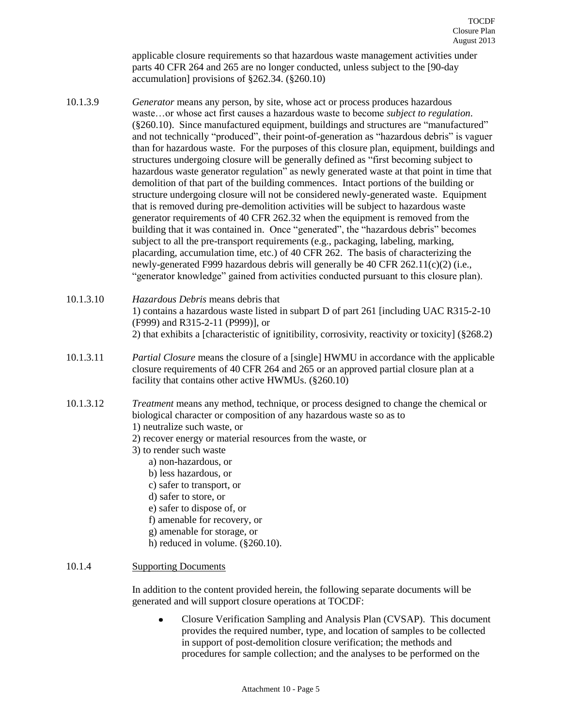applicable closure requirements so that hazardous waste management activities under parts 40 CFR 264 and 265 are no longer conducted, unless subject to the [90-day accumulation] provisions of §262.34. (§260.10)

- 10.1.3.9 *Generator* means any person, by site, whose act or process produces hazardous waste…or whose act first causes a hazardous waste to become *subject to regulation*. (§260.10). Since manufactured equipment, buildings and structures are "manufactured" and not technically "produced", their point-of-generation as "hazardous debris" is vaguer than for hazardous waste. For the purposes of this closure plan, equipment, buildings and structures undergoing closure will be generally defined as "first becoming subject to hazardous waste generator regulation" as newly generated waste at that point in time that demolition of that part of the building commences. Intact portions of the building or structure undergoing closure will not be considered newly-generated waste. Equipment that is removed during pre-demolition activities will be subject to hazardous waste generator requirements of 40 CFR 262.32 when the equipment is removed from the building that it was contained in. Once "generated", the "hazardous debris" becomes subject to all the pre-transport requirements (e.g., packaging, labeling, marking, placarding, accumulation time, etc.) of 40 CFR 262. The basis of characterizing the newly-generated F999 hazardous debris will generally be 40 CFR 262.11(c)(2) (i.e., "generator knowledge" gained from activities conducted pursuant to this closure plan).
- 10.1.3.10 *Hazardous Debris* means debris that 1) contains a hazardous waste listed in subpart D of part 261 [including UAC R315-2-10 (F999) and R315-2-11 (P999)], or 2) that exhibits a [characteristic of ignitibility, corrosivity, reactivity or toxicity] (§268.2)
- 10.1.3.11 *Partial Closure* means the closure of a [single] HWMU in accordance with the applicable closure requirements of 40 CFR 264 and 265 or an approved partial closure plan at a facility that contains other active HWMUs. (§260.10)
- 10.1.3.12 *Treatment* means any method, technique, or process designed to change the chemical or biological character or composition of any hazardous waste so as to
	- 1) neutralize such waste, or
	- 2) recover energy or material resources from the waste, or
	- 3) to render such waste
		- a) non-hazardous, or
		- b) less hazardous, or
		- c) safer to transport, or
		- d) safer to store, or
		- e) safer to dispose of, or
		- f) amenable for recovery, or
		- g) amenable for storage, or
		- h) reduced in volume. (§260.10).

## <span id="page-4-0"></span>10.1.4 Supporting Documents

In addition to the content provided herein, the following separate documents will be generated and will support closure operations at TOCDF:

Closure Verification Sampling and Analysis Plan (CVSAP). This document  $\bullet$ provides the required number, type, and location of samples to be collected in support of post-demolition closure verification; the methods and procedures for sample collection; and the analyses to be performed on the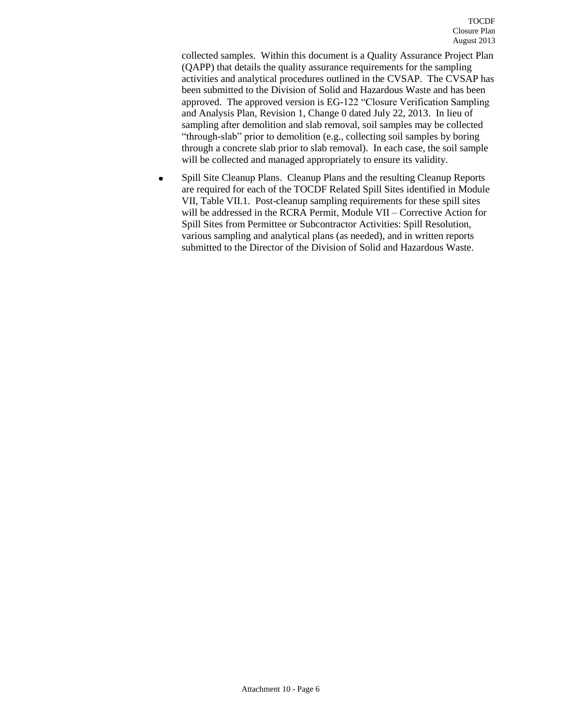collected samples. Within this document is a Quality Assurance Project Plan (QAPP) that details the quality assurance requirements for the sampling activities and analytical procedures outlined in the CVSAP. The CVSAP has been submitted to the Division of Solid and Hazardous Waste and has been approved. The approved version is EG-122 "Closure Verification Sampling and Analysis Plan, Revision 1, Change 0 dated July 22, 2013. In lieu of sampling after demolition and slab removal, soil samples may be collected "through-slab" prior to demolition (e.g., collecting soil samples by boring through a concrete slab prior to slab removal). In each case, the soil sample will be collected and managed appropriately to ensure its validity.

Spill Site Cleanup Plans. Cleanup Plans and the resulting Cleanup Reports  $\bullet$ are required for each of the TOCDF Related Spill Sites identified in Module VII, Table VII.1. Post-cleanup sampling requirements for these spill sites will be addressed in the RCRA Permit, Module VII – Corrective Action for Spill Sites from Permittee or Subcontractor Activities: Spill Resolution, various sampling and analytical plans (as needed), and in written reports submitted to the Director of the Division of Solid and Hazardous Waste.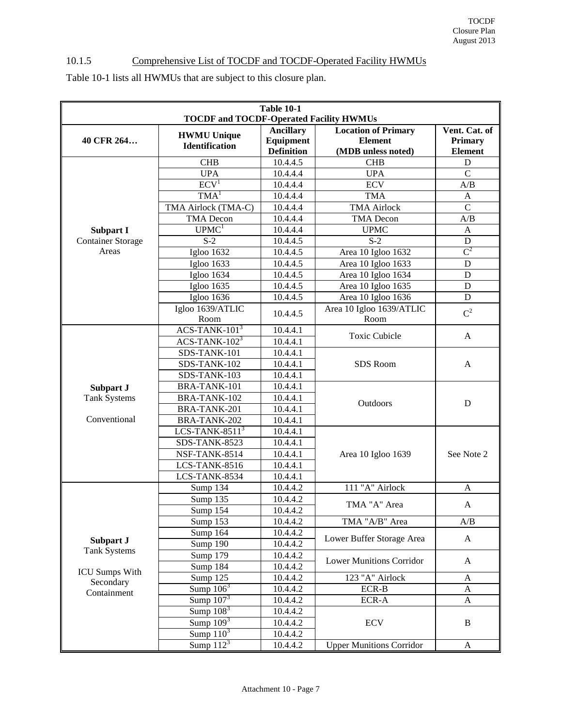# <span id="page-6-0"></span>10.1.5 Comprehensive List of TOCDF and TOCDF-Operated Facility HWMUs

Table 10-1 lists all HWMUs that are subject to this closure plan.

| <b>Table 10-1</b><br><b>TOCDF and TOCDF-Operated Facility HWMUs</b> |                          |                               |                                              |                          |
|---------------------------------------------------------------------|--------------------------|-------------------------------|----------------------------------------------|--------------------------|
| 40 CFR 264                                                          | <b>HWMU Unique</b>       | <b>Ancillary</b><br>Equipment | <b>Location of Primary</b><br><b>Element</b> | Vent. Cat. of<br>Primary |
|                                                                     | <b>Identification</b>    | <b>Definition</b>             | (MDB unless noted)                           | <b>Element</b>           |
|                                                                     | <b>CHB</b>               | 10.4.4.5                      | <b>CHB</b>                                   | D                        |
|                                                                     | <b>UPA</b>               | 10.4.4.4                      | <b>UPA</b>                                   | $\overline{C}$           |
|                                                                     | ECV <sup>1</sup>         | 10.4.4.4                      | <b>ECV</b>                                   | A/B                      |
|                                                                     | TMA <sup>1</sup>         | 10.4.4.4                      | <b>TMA</b>                                   | A                        |
|                                                                     | TMA Airlock (TMA-C)      | 10.4.4.4                      | <b>TMA Airlock</b>                           | $\overline{C}$           |
|                                                                     | <b>TMA</b> Decon         | 10.4.4.4                      | <b>TMA</b> Decon                             | A/B                      |
| Subpart I                                                           | U P M C <sup>1</sup>     | 10.4.4.4                      | <b>UPMC</b>                                  | A                        |
| <b>Container Storage</b>                                            | $S-2$                    | 10.4.4.5                      | $S-2$                                        | $\mathbf D$              |
| Areas                                                               | <b>Igloo 1632</b>        | 10.4.4.5                      | Area 10 Igloo 1632                           | $\mathbf{C}^2$           |
|                                                                     | <b>Igloo 1633</b>        | 10.4.4.5                      | Area 10 Igloo 1633                           | $\mathbf D$              |
|                                                                     | <b>Igloo 1634</b>        | 10.4.4.5                      | Area 10 Igloo 1634                           | $\mathbf D$              |
|                                                                     | Igloo 1635               | 10.4.4.5                      | Area 10 Igloo 1635                           | $\mathbf D$              |
|                                                                     | Igloo 1636               | 10.4.4.5                      | Area 10 Igloo 1636                           | $\mathbf D$              |
|                                                                     | Igloo 1639/ATLIC<br>Room | 10.4.4.5                      | Area 10 Igloo 1639/ATLIC<br>Room             | $C^2$                    |
|                                                                     | $ACS-TANK-1013$          | 10.4.4.1                      |                                              |                          |
|                                                                     | $ACS-TANK-1023$          | 10.4.4.1                      | <b>Toxic Cubicle</b>                         | A                        |
|                                                                     | SDS-TANK-101             | 10.4.4.1                      |                                              |                          |
|                                                                     | SDS-TANK-102             | 10.4.4.1                      | <b>SDS</b> Room                              | A                        |
|                                                                     | SDS-TANK-103             | 10.4.4.1                      |                                              |                          |
| Subpart J                                                           | BRA-TANK-101             | 10.4.4.1                      |                                              |                          |
| <b>Tank Systems</b>                                                 | BRA-TANK-102             | 10.4.4.1                      |                                              | D                        |
|                                                                     | BRA-TANK-201             | 10.4.4.1                      | Outdoors                                     |                          |
| Conventional                                                        | BRA-TANK-202             | 10.4.4.1                      |                                              |                          |
|                                                                     | LCS-TANK-8511 $3$        | 10.4.4.1                      |                                              |                          |
|                                                                     | SDS-TANK-8523            | 10.4.4.1                      |                                              |                          |
|                                                                     | NSF-TANK-8514            | 10.4.4.1                      | Area 10 Igloo 1639                           | See Note 2               |
|                                                                     | LCS-TANK-8516            | 10.4.4.1                      |                                              |                          |
|                                                                     | LCS-TANK-8534            | 10.4.4.1                      |                                              |                          |
|                                                                     | Sump 134                 | 10.4.4.2                      | 111 "A" Airlock                              | A                        |
|                                                                     | Sump 135                 | 10.4.4.2                      | TMA "A" Area                                 | A                        |
|                                                                     | Sump 154                 | 10.4.4.2                      |                                              |                          |
|                                                                     | Sump 153                 | 10.4.4.2                      | TMA "A/B" Area                               | A/B                      |
|                                                                     | Sump 164                 | 10.4.4.2                      | Lower Buffer Storage Area                    | $\mathbf{A}$             |
| Subpart J                                                           | Sump 190                 | 10.4.4.2                      |                                              |                          |
| <b>Tank Systems</b>                                                 | Sump 179                 | 10.4.4.2                      | <b>Lower Munitions Corridor</b>              | A                        |
| <b>ICU Sumps With</b>                                               | Sump 184                 | 10.4.4.2                      |                                              |                          |
| Secondary                                                           | Sump 125                 | 10.4.4.2                      | 123 "A" Airlock                              | A                        |
| Containment                                                         | Sump $106^3$             | 10.4.4.2                      | ECR-B                                        | A                        |
|                                                                     | Sump $1073$              | 10.4.4.2                      | ECR-A                                        | A                        |
|                                                                     | Sump $1083$              | 10.4.4.2                      |                                              |                          |
|                                                                     | Sump $\overline{109^3}$  | 10.4.4.2                      | <b>ECV</b>                                   | B                        |
|                                                                     | Sump $1\overline{10^3}$  | 10.4.4.2                      |                                              |                          |
|                                                                     | Sump $112^3$             | 10.4.4.2                      | <b>Upper Munitions Corridor</b>              | A                        |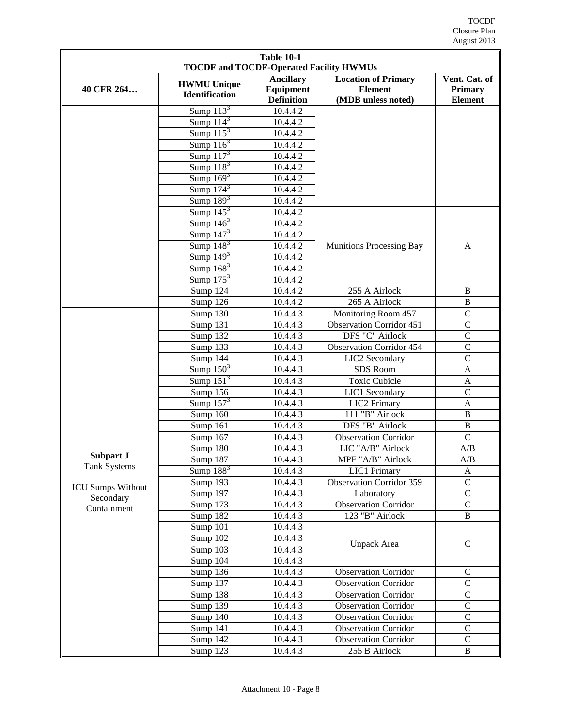| <b>Table 10-1</b><br><b>TOCDF and TOCDF-Operated Facility HWMUs</b>                                                                                                                                               |                 |          |                                 |                    |  |
|-------------------------------------------------------------------------------------------------------------------------------------------------------------------------------------------------------------------|-----------------|----------|---------------------------------|--------------------|--|
| <b>Ancillary</b><br><b>Location of Primary</b><br>Vent. Cat. of<br><b>HWMU Unique</b><br>Equipment<br><b>Element</b><br>40 CFR 264<br>Primary<br><b>Identification</b><br><b>Definition</b><br>(MDB unless noted) |                 |          |                                 |                    |  |
|                                                                                                                                                                                                                   | Sump $113^3$    | 10.4.4.2 |                                 | <b>Element</b>     |  |
|                                                                                                                                                                                                                   | Sump $114^3$    | 10.4.4.2 |                                 |                    |  |
|                                                                                                                                                                                                                   | Sump $115^3$    | 10.4.4.2 |                                 |                    |  |
|                                                                                                                                                                                                                   | Sump $1163$     | 10.4.4.2 |                                 |                    |  |
|                                                                                                                                                                                                                   | Sump $1173$     | 10.4.4.2 |                                 |                    |  |
|                                                                                                                                                                                                                   | Sump $1183$     | 10.4.4.2 |                                 |                    |  |
|                                                                                                                                                                                                                   | Sump $169^3$    | 10.4.4.2 |                                 |                    |  |
|                                                                                                                                                                                                                   | Sump $1743$     | 10.4.4.2 |                                 |                    |  |
|                                                                                                                                                                                                                   | Sump $1893$     | 10.4.4.2 |                                 |                    |  |
|                                                                                                                                                                                                                   | Sump $145^3$    | 10.4.4.2 |                                 |                    |  |
|                                                                                                                                                                                                                   | Sump $146^3$    | 10.4.4.2 |                                 |                    |  |
|                                                                                                                                                                                                                   | Sump $147^3$    | 10.4.4.2 |                                 |                    |  |
|                                                                                                                                                                                                                   | Sump $148^3$    | 10.4.4.2 | <b>Munitions Processing Bay</b> | A                  |  |
|                                                                                                                                                                                                                   | Sump $1493$     | 10.4.4.2 |                                 |                    |  |
|                                                                                                                                                                                                                   | Sump $1683$     | 10.4.4.2 |                                 |                    |  |
|                                                                                                                                                                                                                   | Sump $175^3$    | 10.4.4.2 |                                 |                    |  |
|                                                                                                                                                                                                                   | Sump 124        | 10.4.4.2 | 255 A Airlock                   | B                  |  |
|                                                                                                                                                                                                                   | Sump 126        | 10.4.4.2 | 265 A Airlock                   | $\, {\bf B}$       |  |
|                                                                                                                                                                                                                   | Sump 130        | 10.4.4.3 | Monitoring Room 457             | $\overline{C}$     |  |
|                                                                                                                                                                                                                   | Sump 131        | 10.4.4.3 | <b>Observation Corridor 451</b> | $\overline{C}$     |  |
|                                                                                                                                                                                                                   | Sump 132        | 10.4.4.3 | <b>DFS "C" Airlock</b>          | $\overline{C}$     |  |
|                                                                                                                                                                                                                   | Sump 133        | 10.4.4.3 | <b>Observation Corridor 454</b> | $\overline{C}$     |  |
|                                                                                                                                                                                                                   | Sump $144$      | 10.4.4.3 | LIC2 Secondary                  | $\overline{\rm C}$ |  |
|                                                                                                                                                                                                                   | Sump $150^3$    | 10.4.4.3 | SDS Room                        | $\overline{A}$     |  |
|                                                                                                                                                                                                                   | Sump $1513$     | 10.4.4.3 | <b>Toxic Cubicle</b>            | $\mathbf{A}$       |  |
|                                                                                                                                                                                                                   | Sump $156$      | 10.4.4.3 | LIC1 Secondary                  | $\mathcal{C}$      |  |
|                                                                                                                                                                                                                   | Sump $157^3$    | 10.4.4.3 | LIC2 Primary                    | $\overline{A}$     |  |
|                                                                                                                                                                                                                   | Sump $160$      | 10.4.4.3 | 111 "B" Airlock                 | $\overline{B}$     |  |
|                                                                                                                                                                                                                   | Sump 161        | 10.4.4.3 | DFS "B" Airlock                 | $\overline{B}$     |  |
|                                                                                                                                                                                                                   | Sump 167        | 10.4.4.3 | <b>Observation Corridor</b>     | $\overline{C}$     |  |
|                                                                                                                                                                                                                   | Sump 180        | 10.4.4.3 | LIC "A/B" Airlock               | A/B                |  |
| Subpart J                                                                                                                                                                                                         | <b>Sump 187</b> | 10.4.4.3 | MPF "A/B" Airlock               | A/B                |  |
| <b>Tank Systems</b>                                                                                                                                                                                               | Sump $188^3$    | 10.4.4.3 | <b>LIC1</b> Primary             | $\mathbf{A}$       |  |
| <b>ICU Sumps Without</b>                                                                                                                                                                                          | Sump 193        | 10.4.4.3 | <b>Observation Corridor 359</b> | $\overline{C}$     |  |
| Secondary                                                                                                                                                                                                         | Sump 197        | 10.4.4.3 | Laboratory                      | $\mathsf{C}$       |  |
| Containment                                                                                                                                                                                                       | Sump 173        | 10.4.4.3 | <b>Observation Corridor</b>     | $\mathcal{C}$      |  |
|                                                                                                                                                                                                                   | Sump 182        | 10.4.4.3 | 123 "B" Airlock                 | $\, {\bf B}$       |  |
|                                                                                                                                                                                                                   | Sump 101        | 10.4.4.3 |                                 |                    |  |
|                                                                                                                                                                                                                   | Sump 102        | 10.4.4.3 |                                 | ${\bf C}$          |  |
|                                                                                                                                                                                                                   | Sump 103        | 10.4.4.3 | Unpack Area                     |                    |  |
|                                                                                                                                                                                                                   | Sump 104        | 10.4.4.3 |                                 |                    |  |
|                                                                                                                                                                                                                   | Sump 136        | 10.4.4.3 | <b>Observation Corridor</b>     | $\mathbf C$        |  |
|                                                                                                                                                                                                                   | Sump 137        | 10.4.4.3 | <b>Observation Corridor</b>     | $\mathbf C$        |  |
|                                                                                                                                                                                                                   | Sump 138        | 10.4.4.3 | <b>Observation Corridor</b>     | $\mathsf{C}$       |  |
|                                                                                                                                                                                                                   | Sump 139        | 10.4.4.3 | <b>Observation Corridor</b>     | $\overline{C}$     |  |
|                                                                                                                                                                                                                   | Sump 140        | 10.4.4.3 | <b>Observation Corridor</b>     | $\mathsf{C}$       |  |
|                                                                                                                                                                                                                   | Sump 141        | 10.4.4.3 | <b>Observation Corridor</b>     | $\mathsf{C}$       |  |
|                                                                                                                                                                                                                   | Sump 142        | 10.4.4.3 | <b>Observation Corridor</b>     | $\mathcal{C}$      |  |
|                                                                                                                                                                                                                   | Sump 123        | 10.4.4.3 | $255 B$ Airlock                 | $\, {\bf B}$       |  |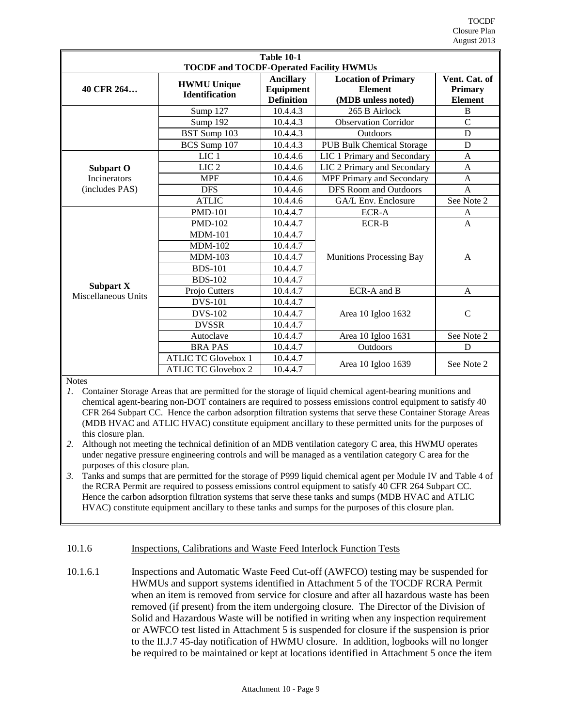| <b>Table 10-1</b>                              |                                             |                                                    |                                                                    |                                                   |  |  |
|------------------------------------------------|---------------------------------------------|----------------------------------------------------|--------------------------------------------------------------------|---------------------------------------------------|--|--|
| <b>TOCDF and TOCDF-Operated Facility HWMUs</b> |                                             |                                                    |                                                                    |                                                   |  |  |
| 40 CFR 264                                     | <b>HWMU Unique</b><br><b>Identification</b> | <b>Ancillary</b><br>Equipment<br><b>Definition</b> | <b>Location of Primary</b><br><b>Element</b><br>(MDB unless noted) | Vent. Cat. of<br><b>Primary</b><br><b>Element</b> |  |  |
|                                                | Sump 127                                    | 10.4.4.3                                           | 265 B Airlock                                                      | B                                                 |  |  |
|                                                | Sump 192                                    | 10.4.4.3                                           | <b>Observation Corridor</b>                                        | $\overline{C}$                                    |  |  |
|                                                | BST Sump 103                                | 10.4.4.3                                           | <b>Outdoors</b>                                                    | D                                                 |  |  |
|                                                | BCS Sump 107                                | 10.4.4.3                                           | <b>PUB Bulk Chemical Storage</b>                                   | D                                                 |  |  |
|                                                | LIC <sub>1</sub>                            | 10.4.4.6                                           | LIC 1 Primary and Secondary                                        | A                                                 |  |  |
| Subpart O                                      | LIC <sub>2</sub>                            | 10.4.4.6                                           | LIC 2 Primary and Secondary                                        | A                                                 |  |  |
| <b>Incinerators</b>                            | <b>MPF</b>                                  | 10.4.4.6                                           | MPF Primary and Secondary                                          | A                                                 |  |  |
| (includes PAS)                                 | <b>DFS</b>                                  | 10.4.4.6                                           | <b>DFS Room and Outdoors</b>                                       | $\overline{A}$                                    |  |  |
|                                                | <b>ATLIC</b>                                | 10.4.4.6                                           | GA/L Env. Enclosure                                                | See Note 2                                        |  |  |
|                                                | <b>PMD-101</b>                              | 10.4.4.7                                           | ECR-A                                                              | A                                                 |  |  |
|                                                | <b>PMD-102</b>                              | 10.4.4.7                                           | <b>ECR-B</b>                                                       | $\mathsf{A}$                                      |  |  |
|                                                | $MDM-101$                                   | 10.4.4.7                                           |                                                                    |                                                   |  |  |
|                                                | <b>MDM-102</b>                              | 10.4.4.7                                           |                                                                    |                                                   |  |  |
|                                                | $MDM-103$                                   | 10.4.4.7                                           | <b>Munitions Processing Bay</b>                                    | A                                                 |  |  |
|                                                | <b>BDS-101</b>                              | 10.4.4.7                                           |                                                                    |                                                   |  |  |
| <b>Subpart X</b>                               | <b>BDS-102</b>                              | 10.4.4.7                                           |                                                                    |                                                   |  |  |
| Miscellaneous Units                            | Projo Cutters                               | 10.4.4.7                                           | ECR-A and B                                                        | $\mathsf{A}$                                      |  |  |
|                                                | <b>DVS-101</b>                              | 10.4.4.7                                           |                                                                    |                                                   |  |  |
|                                                | <b>DVS-102</b>                              | 10.4.4.7                                           | Area 10 Igloo 1632                                                 | $\mathcal{C}$                                     |  |  |
|                                                | <b>DVSSR</b>                                | 10.4.4.7                                           |                                                                    |                                                   |  |  |
|                                                | Autoclave                                   | 10.4.4.7                                           | Area 10 Igloo 1631                                                 | See Note 2                                        |  |  |
|                                                | <b>BRAPAS</b>                               | 10.4.4.7                                           | Outdoors                                                           | D                                                 |  |  |
|                                                | <b>ATLIC TC Glovebox 1</b>                  | 10.4.4.7                                           | Area 10 Igloo 1639                                                 | See Note 2                                        |  |  |
|                                                | <b>ATLIC TC Glovebox 2</b>                  | 10.4.4.7                                           |                                                                    |                                                   |  |  |

**Notes** 

*1.* Container Storage Areas that are permitted for the storage of liquid chemical agent-bearing munitions and chemical agent-bearing non-DOT containers are required to possess emissions control equipment to satisfy 40 CFR 264 Subpart CC. Hence the carbon adsorption filtration systems that serve these Container Storage Areas (MDB HVAC and ATLIC HVAC) constitute equipment ancillary to these permitted units for the purposes of this closure plan.

*2.* Although not meeting the technical definition of an MDB ventilation category C area, this HWMU operates under negative pressure engineering controls and will be managed as a ventilation category C area for the purposes of this closure plan.

*3.* Tanks and sumps that are permitted for the storage of P999 liquid chemical agent per Module IV and Table 4 of the RCRA Permit are required to possess emissions control equipment to satisfy 40 CFR 264 Subpart CC. Hence the carbon adsorption filtration systems that serve these tanks and sumps (MDB HVAC and ATLIC HVAC) constitute equipment ancillary to these tanks and sumps for the purposes of this closure plan.

## <span id="page-8-0"></span>10.1.6 **Inspections, Calibrations and Waste Feed Interlock Function Tests**

10.1.6.1 Inspections and Automatic Waste Feed Cut-off (AWFCO) testing may be suspended for HWMUs and support systems identified in Attachment 5 of the TOCDF RCRA Permit when an item is removed from service for closure and after all hazardous waste has been removed (if present) from the item undergoing closure. The Director of the Division of Solid and Hazardous Waste will be notified in writing when any inspection requirement or AWFCO test listed in Attachment 5 is suspended for closure if the suspension is prior to the II.J.7 45-day notification of HWMU closure. In addition, logbooks will no longer be required to be maintained or kept at locations identified in Attachment 5 once the item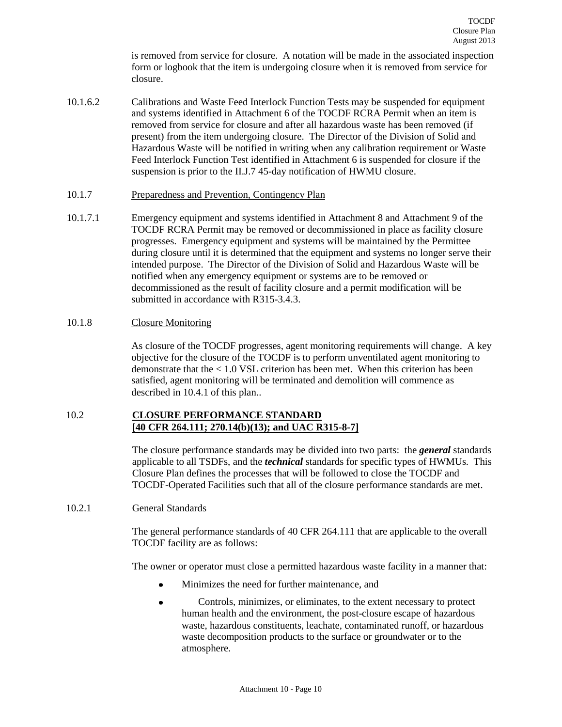is removed from service for closure. A notation will be made in the associated inspection form or logbook that the item is undergoing closure when it is removed from service for closure.

- 10.1.6.2 Calibrations and Waste Feed Interlock Function Tests may be suspended for equipment and systems identified in Attachment 6 of the TOCDF RCRA Permit when an item is removed from service for closure and after all hazardous waste has been removed (if present) from the item undergoing closure. The Director of the Division of Solid and Hazardous Waste will be notified in writing when any calibration requirement or Waste Feed Interlock Function Test identified in Attachment 6 is suspended for closure if the suspension is prior to the II.J.7 45-day notification of HWMU closure.
- <span id="page-9-0"></span>10.1.7 Preparedness and Prevention, Contingency Plan
- 10.1.7.1 Emergency equipment and systems identified in Attachment 8 and Attachment 9 of the TOCDF RCRA Permit may be removed or decommissioned in place as facility closure progresses. Emergency equipment and systems will be maintained by the Permittee during closure until it is determined that the equipment and systems no longer serve their intended purpose. The Director of the Division of Solid and Hazardous Waste will be notified when any emergency equipment or systems are to be removed or decommissioned as the result of facility closure and a permit modification will be submitted in accordance with R315-3.4.3.

#### <span id="page-9-1"></span>10.1.8 Closure Monitoring

As closure of the TOCDF progresses, agent monitoring requirements will change. A key objective for the closure of the TOCDF is to perform unventilated agent monitoring to demonstrate that the < 1.0 VSL criterion has been met. When this criterion has been satisfied, agent monitoring will be terminated and demolition will commence as described in 10.4.1 of this plan..

## <span id="page-9-2"></span>10.2 **CLOSURE PERFORMANCE STANDARD [40 CFR 264.111; 270.14(b)(13); and UAC R315-8-7]**

The closure performance standards may be divided into two parts: the *general* standards applicable to all TSDFs, and the *technical* standards for specific types of HWMUs. This Closure Plan defines the processes that will be followed to close the TOCDF and TOCDF-Operated Facilities such that all of the closure performance standards are met.

<span id="page-9-3"></span>10.2.1 General Standards

The general performance standards of 40 CFR 264.111 that are applicable to the overall TOCDF facility are as follows:

The owner or operator must close a permitted hazardous waste facility in a manner that:

- $\bullet$ Minimizes the need for further maintenance, and
- Controls, minimizes, or eliminates, to the extent necessary to protect  $\bullet$ human health and the environment, the post-closure escape of hazardous waste, hazardous constituents, leachate, contaminated runoff, or hazardous waste decomposition products to the surface or groundwater or to the atmosphere.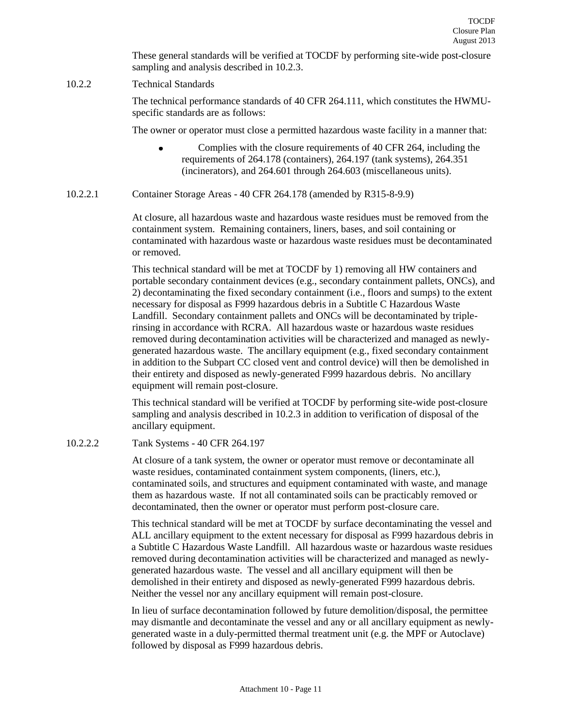These general standards will be verified at TOCDF by performing site-wide post-closure sampling and analysis described in 10.2.3.

## <span id="page-10-0"></span>10.2.2 Technical Standards

The technical performance standards of 40 CFR 264.111, which constitutes the HWMUspecific standards are as follows:

The owner or operator must close a permitted hazardous waste facility in a manner that:

- Complies with the closure requirements of 40 CFR 264, including the requirements of 264.178 (containers), 264.197 (tank systems), 264.351 (incinerators), and 264.601 through 264.603 (miscellaneous units).
- <span id="page-10-1"></span>10.2.2.1 Container Storage Areas - 40 CFR 264.178 (amended by R315-8-9.9)

At closure, all hazardous waste and hazardous waste residues must be removed from the containment system. Remaining containers, liners, bases, and soil containing or contaminated with hazardous waste or hazardous waste residues must be decontaminated or removed.

This technical standard will be met at TOCDF by 1) removing all HW containers and portable secondary containment devices (e.g., secondary containment pallets, ONCs), and 2) decontaminating the fixed secondary containment (i.e., floors and sumps) to the extent necessary for disposal as F999 hazardous debris in a Subtitle C Hazardous Waste Landfill. Secondary containment pallets and ONCs will be decontaminated by triplerinsing in accordance with RCRA. All hazardous waste or hazardous waste residues removed during decontamination activities will be characterized and managed as newlygenerated hazardous waste. The ancillary equipment (e.g., fixed secondary containment in addition to the Subpart CC closed vent and control device) will then be demolished in their entirety and disposed as newly-generated F999 hazardous debris. No ancillary equipment will remain post-closure.

This technical standard will be verified at TOCDF by performing site-wide post-closure sampling and analysis described in 10.2.3 in addition to verification of disposal of the ancillary equipment.

## <span id="page-10-2"></span>10.2.2.2 Tank Systems - 40 CFR 264.197

At closure of a tank system, the owner or operator must remove or decontaminate all waste residues, contaminated containment system components, (liners, etc.), contaminated soils, and structures and equipment contaminated with waste, and manage them as hazardous waste. If not all contaminated soils can be practicably removed or decontaminated, then the owner or operator must perform post-closure care.

This technical standard will be met at TOCDF by surface decontaminating the vessel and ALL ancillary equipment to the extent necessary for disposal as F999 hazardous debris in a Subtitle C Hazardous Waste Landfill. All hazardous waste or hazardous waste residues removed during decontamination activities will be characterized and managed as newlygenerated hazardous waste. The vessel and all ancillary equipment will then be demolished in their entirety and disposed as newly-generated F999 hazardous debris. Neither the vessel nor any ancillary equipment will remain post-closure.

In lieu of surface decontamination followed by future demolition/disposal, the permittee may dismantle and decontaminate the vessel and any or all ancillary equipment as newlygenerated waste in a duly-permitted thermal treatment unit (e.g. the MPF or Autoclave) followed by disposal as F999 hazardous debris.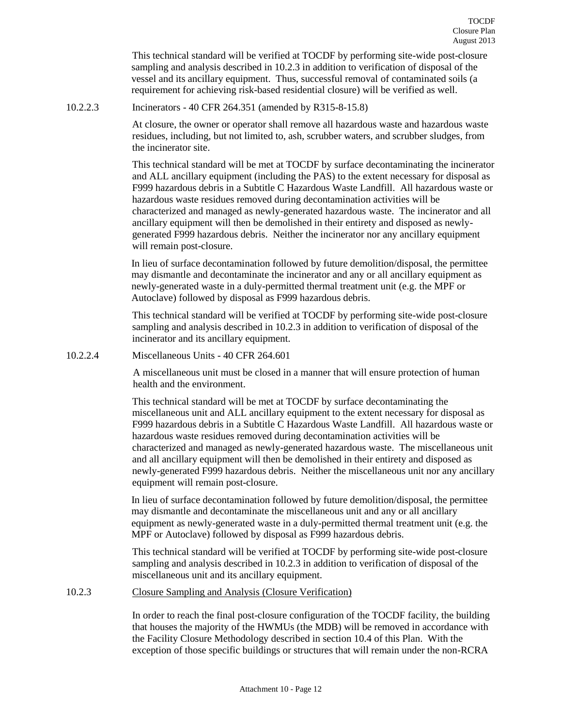This technical standard will be verified at TOCDF by performing site-wide post-closure sampling and analysis described in 10.2.3 in addition to verification of disposal of the vessel and its ancillary equipment. Thus, successful removal of contaminated soils (a requirement for achieving risk-based residential closure) will be verified as well.

<span id="page-11-0"></span>10.2.2.3 Incinerators - 40 CFR 264.351 (amended by R315-8-15.8)

At closure, the owner or operator shall remove all hazardous waste and hazardous waste residues, including, but not limited to, ash, scrubber waters, and scrubber sludges, from the incinerator site.

This technical standard will be met at TOCDF by surface decontaminating the incinerator and ALL ancillary equipment (including the PAS) to the extent necessary for disposal as F999 hazardous debris in a Subtitle C Hazardous Waste Landfill. All hazardous waste or hazardous waste residues removed during decontamination activities will be characterized and managed as newly-generated hazardous waste. The incinerator and all ancillary equipment will then be demolished in their entirety and disposed as newlygenerated F999 hazardous debris. Neither the incinerator nor any ancillary equipment will remain post-closure.

In lieu of surface decontamination followed by future demolition/disposal, the permittee may dismantle and decontaminate the incinerator and any or all ancillary equipment as newly-generated waste in a duly-permitted thermal treatment unit (e.g. the MPF or Autoclave) followed by disposal as F999 hazardous debris.

This technical standard will be verified at TOCDF by performing site-wide post-closure sampling and analysis described in 10.2.3 in addition to verification of disposal of the incinerator and its ancillary equipment.

<span id="page-11-1"></span>10.2.2.4 Miscellaneous Units - 40 CFR 264.601

A miscellaneous unit must be closed in a manner that will ensure protection of human health and the environment.

This technical standard will be met at TOCDF by surface decontaminating the miscellaneous unit and ALL ancillary equipment to the extent necessary for disposal as F999 hazardous debris in a Subtitle C Hazardous Waste Landfill. All hazardous waste or hazardous waste residues removed during decontamination activities will be characterized and managed as newly-generated hazardous waste. The miscellaneous unit and all ancillary equipment will then be demolished in their entirety and disposed as newly-generated F999 hazardous debris. Neither the miscellaneous unit nor any ancillary equipment will remain post-closure.

In lieu of surface decontamination followed by future demolition/disposal, the permittee may dismantle and decontaminate the miscellaneous unit and any or all ancillary equipment as newly-generated waste in a duly-permitted thermal treatment unit (e.g. the MPF or Autoclave) followed by disposal as F999 hazardous debris.

This technical standard will be verified at TOCDF by performing site-wide post-closure sampling and analysis described in 10.2.3 in addition to verification of disposal of the miscellaneous unit and its ancillary equipment.

<span id="page-11-2"></span>10.2.3 Closure Sampling and Analysis (Closure Verification)

In order to reach the final post-closure configuration of the TOCDF facility, the building that houses the majority of the HWMUs (the MDB) will be removed in accordance with the Facility Closure Methodology described in section 10.4 of this Plan. With the exception of those specific buildings or structures that will remain under the non-RCRA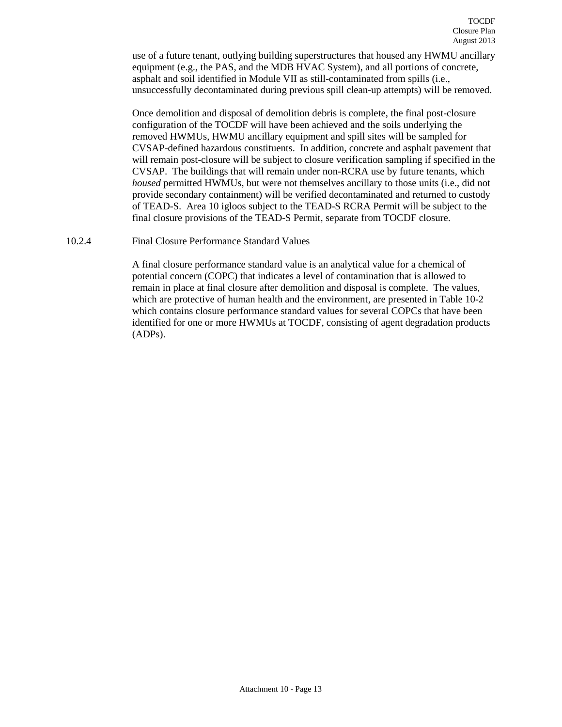use of a future tenant, outlying building superstructures that housed any HWMU ancillary equipment (e.g., the PAS, and the MDB HVAC System), and all portions of concrete, asphalt and soil identified in Module VII as still-contaminated from spills (i.e., unsuccessfully decontaminated during previous spill clean-up attempts) will be removed.

Once demolition and disposal of demolition debris is complete, the final post-closure configuration of the TOCDF will have been achieved and the soils underlying the removed HWMUs, HWMU ancillary equipment and spill sites will be sampled for CVSAP-defined hazardous constituents. In addition, concrete and asphalt pavement that will remain post-closure will be subject to closure verification sampling if specified in the CVSAP. The buildings that will remain under non-RCRA use by future tenants, which *housed* permitted HWMUs, but were not themselves ancillary to those units (i.e., did not provide secondary containment) will be verified decontaminated and returned to custody of TEAD-S. Area 10 igloos subject to the TEAD-S RCRA Permit will be subject to the final closure provisions of the TEAD-S Permit, separate from TOCDF closure.

#### <span id="page-12-0"></span>10.2.4 Final Closure Performance Standard Values

A final closure performance standard value is an analytical value for a chemical of potential concern (COPC) that indicates a level of contamination that is allowed to remain in place at final closure after demolition and disposal is complete. The values, which are protective of human health and the environment, are presented in Table 10-2 which contains closure performance standard values for several COPCs that have been identified for one or more HWMUs at TOCDF, consisting of agent degradation products (ADPs).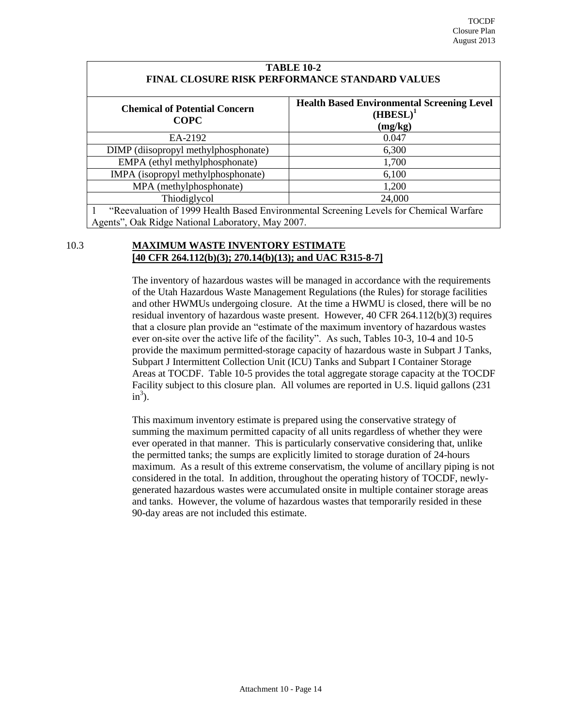| <b>TABLE 10-2</b><br>FINAL CLOSURE RISK PERFORMANCE STANDARD VALUES                                                                         |       |  |  |  |  |
|---------------------------------------------------------------------------------------------------------------------------------------------|-------|--|--|--|--|
| <b>Health Based Environmental Screening Level</b><br><b>Chemical of Potential Concern</b><br>$(HBESL)^1$<br><b>COPC</b><br>(mg/kg)          |       |  |  |  |  |
| EA-2192                                                                                                                                     | 0.047 |  |  |  |  |
| DIMP (diisopropyl methylphosphonate)                                                                                                        | 6,300 |  |  |  |  |
| EMPA (ethyl methylphosphonate)                                                                                                              | 1,700 |  |  |  |  |
| IMPA (isopropyl methylphosphonate)                                                                                                          | 6,100 |  |  |  |  |
| MPA (methylphosphonate)                                                                                                                     | 1,200 |  |  |  |  |
| Thiodiglycol<br>24,000                                                                                                                      |       |  |  |  |  |
| "Reevaluation of 1999 Health Based Environmental Screening Levels for Chemical Warfare<br>Agents", Oak Ridge National Laboratory, May 2007. |       |  |  |  |  |

# <span id="page-13-0"></span>10.3 **MAXIMUM WASTE INVENTORY ESTIMATE [40 CFR 264.112(b)(3); 270.14(b)(13); and UAC R315-8-7]**

The inventory of hazardous wastes will be managed in accordance with the requirements of the Utah Hazardous Waste Management Regulations (the Rules) for storage facilities and other HWMUs undergoing closure. At the time a HWMU is closed, there will be no residual inventory of hazardous waste present. However, 40 CFR 264.112(b)(3) requires that a closure plan provide an "estimate of the maximum inventory of hazardous wastes ever on-site over the active life of the facility". As such, Tables 10-3, 10-4 and 10-5 provide the maximum permitted-storage capacity of hazardous waste in Subpart J Tanks, Subpart J Intermittent Collection Unit (ICU) Tanks and Subpart I Container Storage Areas at TOCDF. Table 10-5 provides the total aggregate storage capacity at the TOCDF Facility subject to this closure plan. All volumes are reported in U.S. liquid gallons (231  $in^3$ ).

This maximum inventory estimate is prepared using the conservative strategy of summing the maximum permitted capacity of all units regardless of whether they were ever operated in that manner. This is particularly conservative considering that, unlike the permitted tanks; the sumps are explicitly limited to storage duration of 24-hours maximum. As a result of this extreme conservatism, the volume of ancillary piping is not considered in the total. In addition, throughout the operating history of TOCDF, newlygenerated hazardous wastes were accumulated onsite in multiple container storage areas and tanks. However, the volume of hazardous wastes that temporarily resided in these 90-day areas are not included this estimate.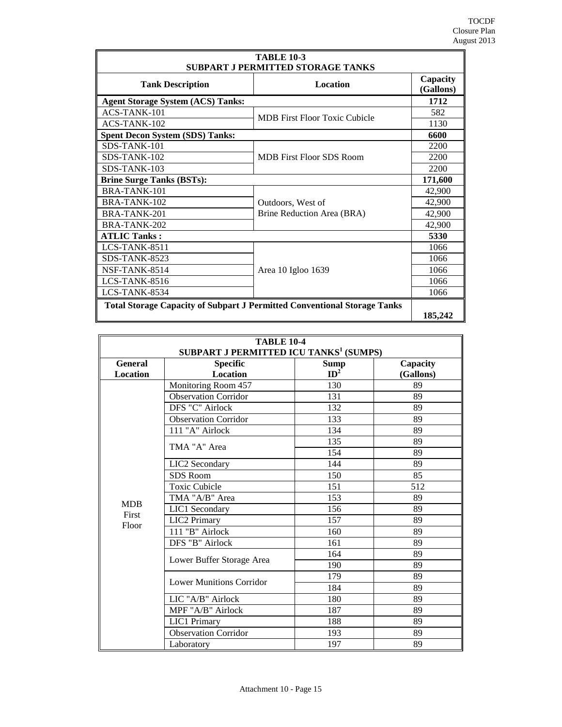| <b>TABLE 10-3</b><br><b>SUBPART J PERMITTED STORAGE TANKS</b>                   |                                      |         |  |
|---------------------------------------------------------------------------------|--------------------------------------|---------|--|
| <b>Location</b><br><b>Tank Description</b>                                      |                                      |         |  |
| <b>Agent Storage System (ACS) Tanks:</b>                                        |                                      | 1712    |  |
| ACS-TANK-101                                                                    |                                      | 582     |  |
| ACS-TANK-102                                                                    | <b>MDB</b> First Floor Toxic Cubicle | 1130    |  |
| <b>Spent Decon System (SDS) Tanks:</b>                                          |                                      | 6600    |  |
| SDS-TANK-101                                                                    |                                      | 2200    |  |
| SDS-TANK-102                                                                    | <b>MDB</b> First Floor SDS Room      | 2200    |  |
| SDS-TANK-103                                                                    |                                      | 2200    |  |
| <b>Brine Surge Tanks (BSTs):</b>                                                |                                      | 171,600 |  |
| BRA-TANK-101                                                                    |                                      | 42,900  |  |
| BRA-TANK-102                                                                    | Outdoors, West of                    | 42,900  |  |
| BRA-TANK-201                                                                    | Brine Reduction Area (BRA)           | 42,900  |  |
| BRA-TANK-202                                                                    |                                      | 42,900  |  |
| <b>ATLIC Tanks:</b>                                                             |                                      | 5330    |  |
| LCS-TANK-8511                                                                   |                                      | 1066    |  |
| SDS-TANK-8523                                                                   |                                      | 1066    |  |
| NSF-TANK-8514                                                                   | Area 10 Igloo 1639                   | 1066    |  |
| $LCS-TANK-8516$                                                                 |                                      |         |  |
| LCS-TANK-8534                                                                   |                                      |         |  |
| <b>Total Storage Capacity of Subpart J Permitted Conventional Storage Tanks</b> |                                      |         |  |
|                                                                                 |                                      | 185,242 |  |

| <b>TABLE 10-4</b><br>SUBPART J PERMITTED ICU TANKS <sup>1</sup> (SUMPS) |                                                                                        |     |     |  |  |  |  |  |
|-------------------------------------------------------------------------|----------------------------------------------------------------------------------------|-----|-----|--|--|--|--|--|
| <b>General</b><br><b>Location</b>                                       | <b>Specific</b><br>Capacity<br><b>Sump</b><br>ID <sup>2</sup><br>Location<br>(Gallons) |     |     |  |  |  |  |  |
|                                                                         | Monitoring Room 457                                                                    | 130 | 89  |  |  |  |  |  |
|                                                                         | Observation Corridor                                                                   | 131 | 89  |  |  |  |  |  |
|                                                                         | DFS "C" Airlock                                                                        | 132 | 89  |  |  |  |  |  |
|                                                                         | <b>Observation Corridor</b>                                                            | 133 | 89  |  |  |  |  |  |
|                                                                         | 111 "A" Airlock                                                                        | 134 | 89  |  |  |  |  |  |
|                                                                         | TMA "A" Area                                                                           | 135 | 89  |  |  |  |  |  |
|                                                                         |                                                                                        | 154 | 89  |  |  |  |  |  |
|                                                                         | LIC2 Secondary                                                                         | 144 | 89  |  |  |  |  |  |
|                                                                         | SDS Room                                                                               | 150 | 85  |  |  |  |  |  |
|                                                                         | <b>Toxic Cubicle</b>                                                                   | 151 | 512 |  |  |  |  |  |
|                                                                         | TMA "A/B" Area                                                                         | 153 | 89  |  |  |  |  |  |
| <b>MDB</b><br>First                                                     | LIC1 Secondary                                                                         | 156 | 89  |  |  |  |  |  |
| Floor                                                                   | <b>LIC2 Primary</b>                                                                    | 157 | 89  |  |  |  |  |  |
|                                                                         | 111 "B" Airlock                                                                        | 160 | 89  |  |  |  |  |  |
|                                                                         | DFS "B" Airlock                                                                        | 161 | 89  |  |  |  |  |  |
|                                                                         |                                                                                        | 164 | 89  |  |  |  |  |  |
|                                                                         | Lower Buffer Storage Area                                                              | 190 | 89  |  |  |  |  |  |
|                                                                         | <b>Lower Munitions Corridor</b>                                                        | 179 | 89  |  |  |  |  |  |
|                                                                         |                                                                                        | 184 | 89  |  |  |  |  |  |
|                                                                         | LIC "A/B" Airlock                                                                      | 180 | 89  |  |  |  |  |  |
|                                                                         | MPF "A/B" Airlock                                                                      | 187 | 89  |  |  |  |  |  |
|                                                                         | <b>LIC1 Primary</b>                                                                    | 188 | 89  |  |  |  |  |  |
|                                                                         | <b>Observation Corridor</b>                                                            | 193 | 89  |  |  |  |  |  |
|                                                                         | Laboratory                                                                             | 197 | 89  |  |  |  |  |  |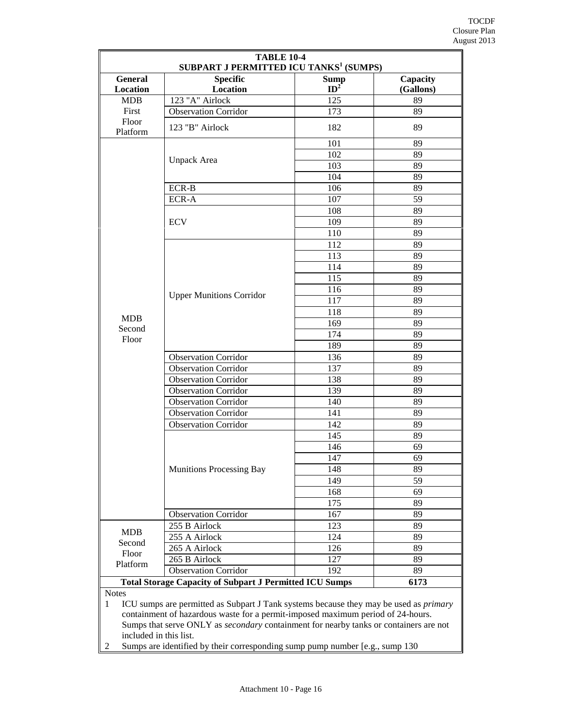| <b>TABLE 10-4</b><br><b>SUBPART J PERMITTED ICU TANKS<sup>1</sup> (SUMPS)</b>                                                                                                                                                                                                                                   |                                                                |             |           |  |  |  |
|-----------------------------------------------------------------------------------------------------------------------------------------------------------------------------------------------------------------------------------------------------------------------------------------------------------------|----------------------------------------------------------------|-------------|-----------|--|--|--|
| General                                                                                                                                                                                                                                                                                                         | <b>Specific</b>                                                | <b>Sump</b> | Capacity  |  |  |  |
| Location                                                                                                                                                                                                                                                                                                        | Location                                                       | $ID^2$      | (Gallons) |  |  |  |
| <b>MDB</b>                                                                                                                                                                                                                                                                                                      | 123 "A" Airlock                                                | 125         | 89        |  |  |  |
| First<br>Floor                                                                                                                                                                                                                                                                                                  | <b>Observation Corridor</b>                                    | 173         | 89        |  |  |  |
| Platform                                                                                                                                                                                                                                                                                                        | 123 "B" Airlock                                                | 182         | 89        |  |  |  |
|                                                                                                                                                                                                                                                                                                                 |                                                                | 101         | 89        |  |  |  |
|                                                                                                                                                                                                                                                                                                                 | Unpack Area                                                    | 102         | 89        |  |  |  |
|                                                                                                                                                                                                                                                                                                                 |                                                                | 103         | 89        |  |  |  |
|                                                                                                                                                                                                                                                                                                                 |                                                                | 104         | 89        |  |  |  |
|                                                                                                                                                                                                                                                                                                                 | ECR-B                                                          | 106         | 89        |  |  |  |
|                                                                                                                                                                                                                                                                                                                 | ECR-A                                                          | 107         | 59        |  |  |  |
|                                                                                                                                                                                                                                                                                                                 |                                                                | 108         | 89        |  |  |  |
|                                                                                                                                                                                                                                                                                                                 | <b>ECV</b>                                                     | 109         | 89        |  |  |  |
|                                                                                                                                                                                                                                                                                                                 |                                                                | 110         | 89        |  |  |  |
|                                                                                                                                                                                                                                                                                                                 |                                                                | 112         | 89        |  |  |  |
|                                                                                                                                                                                                                                                                                                                 |                                                                | 113         | 89        |  |  |  |
|                                                                                                                                                                                                                                                                                                                 |                                                                | 114         | 89        |  |  |  |
|                                                                                                                                                                                                                                                                                                                 |                                                                | 115         | 89        |  |  |  |
|                                                                                                                                                                                                                                                                                                                 | <b>Upper Munitions Corridor</b>                                | 116         | 89        |  |  |  |
|                                                                                                                                                                                                                                                                                                                 |                                                                | 117<br>118  | 89<br>89  |  |  |  |
| <b>MDB</b>                                                                                                                                                                                                                                                                                                      |                                                                | 169         | 89        |  |  |  |
| Second                                                                                                                                                                                                                                                                                                          |                                                                | 174         | 89        |  |  |  |
| Floor                                                                                                                                                                                                                                                                                                           |                                                                | 189         | 89        |  |  |  |
|                                                                                                                                                                                                                                                                                                                 | <b>Observation Corridor</b>                                    | 136         | 89        |  |  |  |
|                                                                                                                                                                                                                                                                                                                 | <b>Observation Corridor</b>                                    | 137         | 89        |  |  |  |
|                                                                                                                                                                                                                                                                                                                 | <b>Observation Corridor</b>                                    | 138         | 89        |  |  |  |
|                                                                                                                                                                                                                                                                                                                 | <b>Observation Corridor</b>                                    | 139         | 89        |  |  |  |
|                                                                                                                                                                                                                                                                                                                 | <b>Observation Corridor</b>                                    | 140         | 89        |  |  |  |
|                                                                                                                                                                                                                                                                                                                 | <b>Observation Corridor</b>                                    | 141         | 89        |  |  |  |
|                                                                                                                                                                                                                                                                                                                 | <b>Observation Corridor</b>                                    | 142         | 89        |  |  |  |
|                                                                                                                                                                                                                                                                                                                 |                                                                | 145         | 89        |  |  |  |
|                                                                                                                                                                                                                                                                                                                 |                                                                | 146         | 69        |  |  |  |
|                                                                                                                                                                                                                                                                                                                 |                                                                | 147         | 69        |  |  |  |
|                                                                                                                                                                                                                                                                                                                 | <b>Munitions Processing Bay</b>                                | 148         | 89        |  |  |  |
|                                                                                                                                                                                                                                                                                                                 |                                                                | 149         | 59        |  |  |  |
|                                                                                                                                                                                                                                                                                                                 |                                                                | 168         | 69        |  |  |  |
|                                                                                                                                                                                                                                                                                                                 |                                                                | 175         | 89        |  |  |  |
|                                                                                                                                                                                                                                                                                                                 | <b>Observation Corridor</b>                                    | 167         | 89        |  |  |  |
| <b>MDB</b>                                                                                                                                                                                                                                                                                                      | 255 B Airlock                                                  | 123         | 89        |  |  |  |
| Second                                                                                                                                                                                                                                                                                                          | 255 A Airlock                                                  | 124         | 89        |  |  |  |
| Floor                                                                                                                                                                                                                                                                                                           | 265 A Airlock                                                  | 126         | 89        |  |  |  |
| Platform                                                                                                                                                                                                                                                                                                        | 265 B Airlock                                                  | 127         | 89        |  |  |  |
|                                                                                                                                                                                                                                                                                                                 | <b>Observation Corridor</b><br>192<br>89                       |             |           |  |  |  |
|                                                                                                                                                                                                                                                                                                                 | <b>Total Storage Capacity of Subpart J Permitted ICU Sumps</b> |             | 6173      |  |  |  |
| <b>Notes</b><br>ICU sumps are permitted as Subpart J Tank systems because they may be used as <i>primary</i><br>$\mathbf{1}$<br>containment of hazardous waste for a permit-imposed maximum period of 24-hours.<br>Sumps that serve ONLY as <i>secondary</i> containment for nearby tanks or containers are not |                                                                |             |           |  |  |  |
|                                                                                                                                                                                                                                                                                                                 | included in this list.                                         |             |           |  |  |  |
| Sumps are identified by their corresponding sump pump number [e.g., sump 130]<br>2                                                                                                                                                                                                                              |                                                                |             |           |  |  |  |

2 Sumps are identified by their corresponding sump pump number [e.g., sump 130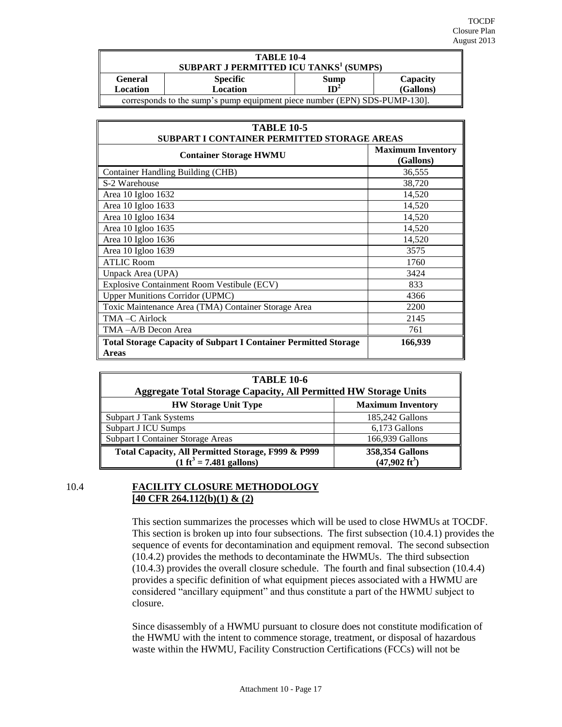| <b>TABLE 10-4</b>                                                          |                                                    |  |  |  |  |  |
|----------------------------------------------------------------------------|----------------------------------------------------|--|--|--|--|--|
|                                                                            | SUBPART J PERMITTED ICU TANKS <sup>1</sup> (SUMPS) |  |  |  |  |  |
| <b>General</b>                                                             | <b>Specific</b><br>Capacity<br>Sump                |  |  |  |  |  |
| ID <sup>2</sup><br>(Gallons)<br><b>Location</b><br>Location                |                                                    |  |  |  |  |  |
| corresponds to the sump's pump equipment piece number (EPN) SDS-PUMP-130]. |                                                    |  |  |  |  |  |

| <b>TABLE 10-5</b><br>SUBPART I CONTAINER PERMITTED STORAGE AREAS                       |                                       |  |  |
|----------------------------------------------------------------------------------------|---------------------------------------|--|--|
| <b>Container Storage HWMU</b>                                                          | <b>Maximum Inventory</b><br>(Gallons) |  |  |
| <b>Container Handling Building (CHB)</b>                                               | 36,555                                |  |  |
| S-2 Warehouse                                                                          | 38,720                                |  |  |
| Area 10 Igloo 1632                                                                     | 14,520                                |  |  |
| Area 10 Igloo 1633                                                                     | 14,520                                |  |  |
| Area 10 Igloo 1634                                                                     | 14,520                                |  |  |
| Area 10 Igloo 1635                                                                     | 14,520                                |  |  |
| Area 10 Igloo 1636                                                                     | 14,520                                |  |  |
| Area 10 Igloo 1639                                                                     | 3575                                  |  |  |
| <b>ATLIC Room</b>                                                                      | 1760                                  |  |  |
| Unpack Area (UPA)                                                                      | 3424                                  |  |  |
| Explosive Containment Room Vestibule (ECV)                                             | 833                                   |  |  |
| <b>Upper Munitions Corridor (UPMC)</b>                                                 | 4366                                  |  |  |
| Toxic Maintenance Area (TMA) Container Storage Area                                    | 2200                                  |  |  |
| TMA-C Airlock                                                                          | 2145                                  |  |  |
| TMA-A/B Decon Area                                                                     | 761                                   |  |  |
| <b>Total Storage Capacity of Subpart I Container Permitted Storage</b><br><b>Areas</b> | 166,939                               |  |  |

| <b>TABLE 10-6</b><br><b>Aggregate Total Storage Capacity, All Permitted HW Storage Units</b> |                                            |  |  |
|----------------------------------------------------------------------------------------------|--------------------------------------------|--|--|
| <b>Maximum Inventory</b><br><b>HW Storage Unit Type</b>                                      |                                            |  |  |
| Subpart J Tank Systems                                                                       | 185,242 Gallons                            |  |  |
| Subpart J ICU Sumps                                                                          | 6,173 Gallons                              |  |  |
| Subpart I Container Storage Areas                                                            | 166,939 Gallons                            |  |  |
| Total Capacity, All Permitted Storage, F999 & P999<br>$(1 ft3 = 7.481$ gallons)              | 358,354 Gallons<br>$(47,902 \text{ ft}^3)$ |  |  |

# <span id="page-16-0"></span>10.4 **FACILITY CLOSURE METHODOLOGY [40 CFR 264.112(b)(1) & (2)**

This section summarizes the processes which will be used to close HWMUs at TOCDF. This section is broken up into four subsections. The first subsection (10.4.1) provides the sequence of events for decontamination and equipment removal. The second subsection (10.4.2) provides the methods to decontaminate the HWMUs. The third subsection (10.4.3) provides the overall closure schedule. The fourth and final subsection (10.4.4) provides a specific definition of what equipment pieces associated with a HWMU are considered "ancillary equipment" and thus constitute a part of the HWMU subject to closure.

Since disassembly of a HWMU pursuant to closure does not constitute modification of the HWMU with the intent to commence storage, treatment, or disposal of hazardous waste within the HWMU, Facility Construction Certifications (FCCs) will not be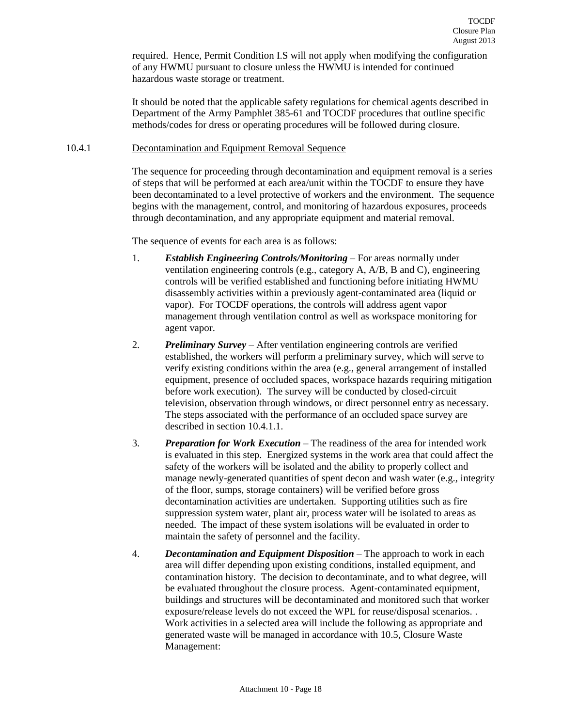required. Hence, Permit Condition I.S will not apply when modifying the configuration of any HWMU pursuant to closure unless the HWMU is intended for continued hazardous waste storage or treatment.

It should be noted that the applicable safety regulations for chemical agents described in Department of the Army Pamphlet 385-61 and TOCDF procedures that outline specific methods/codes for dress or operating procedures will be followed during closure.

#### <span id="page-17-0"></span>10.4.1 Decontamination and Equipment Removal Sequence

The sequence for proceeding through decontamination and equipment removal is a series of steps that will be performed at each area/unit within the TOCDF to ensure they have been decontaminated to a level protective of workers and the environment. The sequence begins with the management, control, and monitoring of hazardous exposures, proceeds through decontamination, and any appropriate equipment and material removal.

The sequence of events for each area is as follows:

- 1. *Establish Engineering Controls/Monitoring* For areas normally under ventilation engineering controls (e.g., category A, A/B, B and C), engineering controls will be verified established and functioning before initiating HWMU disassembly activities within a previously agent-contaminated area (liquid or vapor). For TOCDF operations, the controls will address agent vapor management through ventilation control as well as workspace monitoring for agent vapor.
- 2. *Preliminary Survey* After ventilation engineering controls are verified established, the workers will perform a preliminary survey, which will serve to verify existing conditions within the area (e.g., general arrangement of installed equipment, presence of occluded spaces, workspace hazards requiring mitigation before work execution). The survey will be conducted by closed-circuit television, observation through windows, or direct personnel entry as necessary. The steps associated with the performance of an occluded space survey are described in section 10.4.1.1.
- 3. *Preparation for Work Execution*  The readiness of the area for intended work is evaluated in this step. Energized systems in the work area that could affect the safety of the workers will be isolated and the ability to properly collect and manage newly-generated quantities of spent decon and wash water (e.g., integrity of the floor, sumps, storage containers) will be verified before gross decontamination activities are undertaken. Supporting utilities such as fire suppression system water, plant air, process water will be isolated to areas as needed. The impact of these system isolations will be evaluated in order to maintain the safety of personnel and the facility.
- 4. *Decontamination and Equipment Disposition* The approach to work in each area will differ depending upon existing conditions, installed equipment, and contamination history. The decision to decontaminate, and to what degree, will be evaluated throughout the closure process. Agent-contaminated equipment, buildings and structures will be decontaminated and monitored such that worker exposure/release levels do not exceed the WPL for reuse/disposal scenarios. . Work activities in a selected area will include the following as appropriate and generated waste will be managed in accordance with 10.5, Closure Waste Management: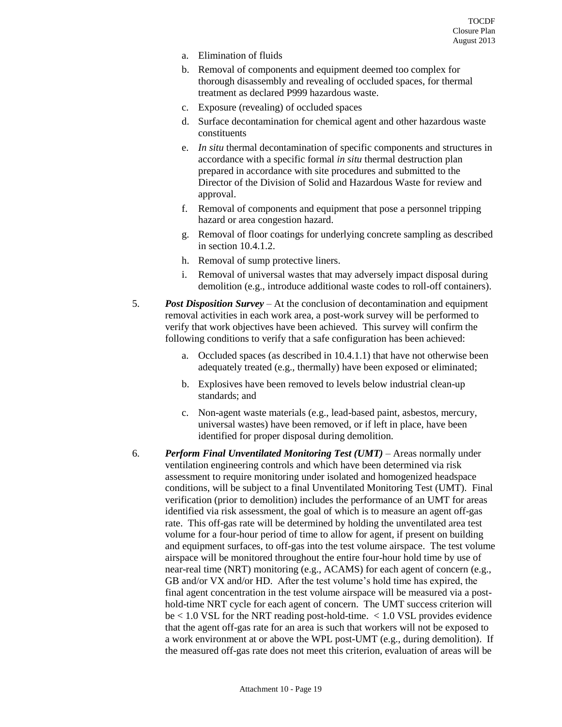- a. Elimination of fluids
- b. Removal of components and equipment deemed too complex for thorough disassembly and revealing of occluded spaces, for thermal treatment as declared P999 hazardous waste.
- c. Exposure (revealing) of occluded spaces
- d. Surface decontamination for chemical agent and other hazardous waste constituents
- e. *In situ* thermal decontamination of specific components and structures in accordance with a specific formal *in situ* thermal destruction plan prepared in accordance with site procedures and submitted to the Director of the Division of Solid and Hazardous Waste for review and approval.
- f. Removal of components and equipment that pose a personnel tripping hazard or area congestion hazard.
- g. Removal of floor coatings for underlying concrete sampling as described in section 10.4.1.2.
- h. Removal of sump protective liners.
- i. Removal of universal wastes that may adversely impact disposal during demolition (e.g., introduce additional waste codes to roll-off containers).
- 5. *Post Disposition Survey* At the conclusion of decontamination and equipment removal activities in each work area, a post-work survey will be performed to verify that work objectives have been achieved. This survey will confirm the following conditions to verify that a safe configuration has been achieved:
	- a. Occluded spaces (as described in 10.4.1.1) that have not otherwise been adequately treated (e.g., thermally) have been exposed or eliminated;
	- b. Explosives have been removed to levels below industrial clean-up standards; and
	- c. Non-agent waste materials (e.g., lead-based paint, asbestos, mercury, universal wastes) have been removed, or if left in place, have been identified for proper disposal during demolition.
- 6. *Perform Final Unventilated Monitoring Test (UMT)* Areas normally under ventilation engineering controls and which have been determined via risk assessment to require monitoring under isolated and homogenized headspace conditions, will be subject to a final Unventilated Monitoring Test (UMT). Final verification (prior to demolition) includes the performance of an UMT for areas identified via risk assessment, the goal of which is to measure an agent off-gas rate. This off-gas rate will be determined by holding the unventilated area test volume for a four-hour period of time to allow for agent, if present on building and equipment surfaces, to off-gas into the test volume airspace. The test volume airspace will be monitored throughout the entire four-hour hold time by use of near-real time (NRT) monitoring (e.g., ACAMS) for each agent of concern (e.g., GB and/or VX and/or HD. After the test volume's hold time has expired, the final agent concentration in the test volume airspace will be measured via a posthold-time NRT cycle for each agent of concern. The UMT success criterion will be < 1.0 VSL for the NRT reading post-hold-time. < 1.0 VSL provides evidence that the agent off-gas rate for an area is such that workers will not be exposed to a work environment at or above the WPL post-UMT (e.g., during demolition). If the measured off-gas rate does not meet this criterion, evaluation of areas will be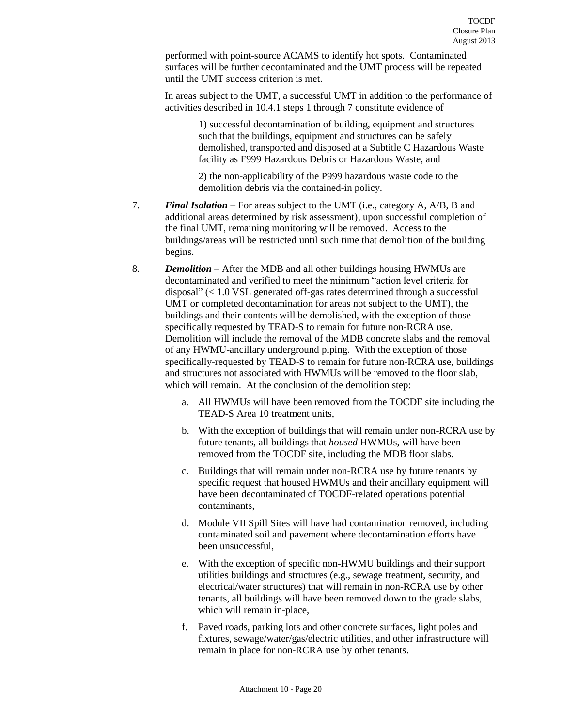performed with point-source ACAMS to identify hot spots. Contaminated surfaces will be further decontaminated and the UMT process will be repeated until the UMT success criterion is met.

In areas subject to the UMT, a successful UMT in addition to the performance of activities described in 10.4.1 steps 1 through 7 constitute evidence of

> 1) successful decontamination of building, equipment and structures such that the buildings, equipment and structures can be safely demolished, transported and disposed at a Subtitle C Hazardous Waste facility as F999 Hazardous Debris or Hazardous Waste, and

2) the non-applicability of the P999 hazardous waste code to the demolition debris via the contained-in policy.

- 7. *Final Isolation*  For areas subject to the UMT (i.e., category A, A/B, B and additional areas determined by risk assessment), upon successful completion of the final UMT, remaining monitoring will be removed. Access to the buildings/areas will be restricted until such time that demolition of the building begins.
- 8. *Demolition*  After the MDB and all other buildings housing HWMUs are decontaminated and verified to meet the minimum "action level criteria for disposal" (< 1.0 VSL generated off-gas rates determined through a successful UMT or completed decontamination for areas not subject to the UMT), the buildings and their contents will be demolished, with the exception of those specifically requested by TEAD-S to remain for future non-RCRA use. Demolition will include the removal of the MDB concrete slabs and the removal of any HWMU-ancillary underground piping. With the exception of those specifically-requested by TEAD-S to remain for future non-RCRA use, buildings and structures not associated with HWMUs will be removed to the floor slab, which will remain. At the conclusion of the demolition step:
	- a. All HWMUs will have been removed from the TOCDF site including the TEAD-S Area 10 treatment units,
	- b. With the exception of buildings that will remain under non-RCRA use by future tenants, all buildings that *housed* HWMUs, will have been removed from the TOCDF site, including the MDB floor slabs,
	- c. Buildings that will remain under non-RCRA use by future tenants by specific request that housed HWMUs and their ancillary equipment will have been decontaminated of TOCDF-related operations potential contaminants,
	- d. Module VII Spill Sites will have had contamination removed, including contaminated soil and pavement where decontamination efforts have been unsuccessful,
	- e. With the exception of specific non-HWMU buildings and their support utilities buildings and structures (e.g., sewage treatment, security, and electrical/water structures) that will remain in non-RCRA use by other tenants, all buildings will have been removed down to the grade slabs, which will remain in-place,
	- f. Paved roads, parking lots and other concrete surfaces, light poles and fixtures, sewage/water/gas/electric utilities, and other infrastructure will remain in place for non-RCRA use by other tenants.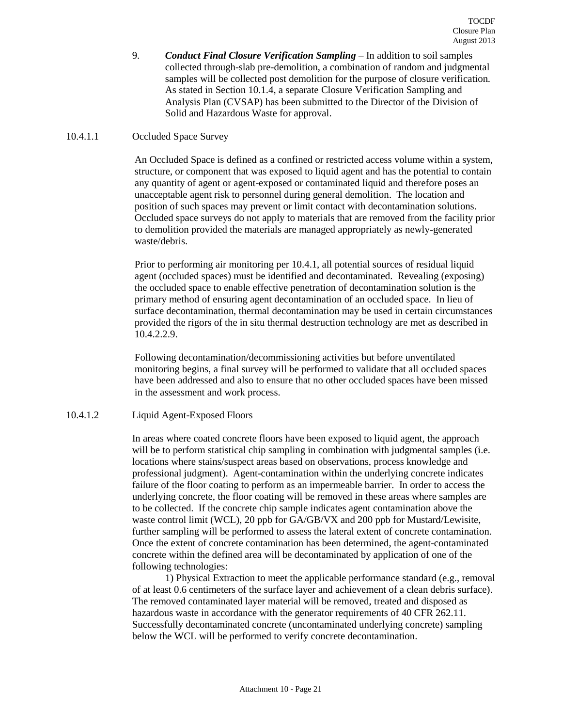9. *Conduct Final Closure Verification Sampling* – In addition to soil samples collected through-slab pre-demolition, a combination of random and judgmental samples will be collected post demolition for the purpose of closure verification. As stated in Section 10.1.4, a separate Closure Verification Sampling and Analysis Plan (CVSAP) has been submitted to the Director of the Division of Solid and Hazardous Waste for approval.

## 10.4.1.1 Occluded Space Survey

An Occluded Space is defined as a confined or restricted access volume within a system, structure, or component that was exposed to liquid agent and has the potential to contain any quantity of agent or agent-exposed or contaminated liquid and therefore poses an unacceptable agent risk to personnel during general demolition. The location and position of such spaces may prevent or limit contact with decontamination solutions. Occluded space surveys do not apply to materials that are removed from the facility prior to demolition provided the materials are managed appropriately as newly-generated waste/debris.

Prior to performing air monitoring per 10.4.1, all potential sources of residual liquid agent (occluded spaces) must be identified and decontaminated. Revealing (exposing) the occluded space to enable effective penetration of decontamination solution is the primary method of ensuring agent decontamination of an occluded space. In lieu of surface decontamination, thermal decontamination may be used in certain circumstances provided the rigors of the in situ thermal destruction technology are met as described in 10.4.2.2.9.

Following decontamination/decommissioning activities but before unventilated monitoring begins, a final survey will be performed to validate that all occluded spaces have been addressed and also to ensure that no other occluded spaces have been missed in the assessment and work process.

## 10.4.1.2 Liquid Agent-Exposed Floors

In areas where coated concrete floors have been exposed to liquid agent, the approach will be to perform statistical chip sampling in combination with judgmental samples (i.e. locations where stains/suspect areas based on observations, process knowledge and professional judgment). Agent-contamination within the underlying concrete indicates failure of the floor coating to perform as an impermeable barrier. In order to access the underlying concrete, the floor coating will be removed in these areas where samples are to be collected. If the concrete chip sample indicates agent contamination above the waste control limit (WCL), 20 ppb for GA/GB/VX and 200 ppb for Mustard/Lewisite, further sampling will be performed to assess the lateral extent of concrete contamination. Once the extent of concrete contamination has been determined, the agent-contaminated concrete within the defined area will be decontaminated by application of one of the following technologies:

1) Physical Extraction to meet the applicable performance standard (e.g., removal of at least 0.6 centimeters of the surface layer and achievement of a clean debris surface). The removed contaminated layer material will be removed, treated and disposed as hazardous waste in accordance with the generator requirements of 40 CFR 262.11. Successfully decontaminated concrete (uncontaminated underlying concrete) sampling below the WCL will be performed to verify concrete decontamination.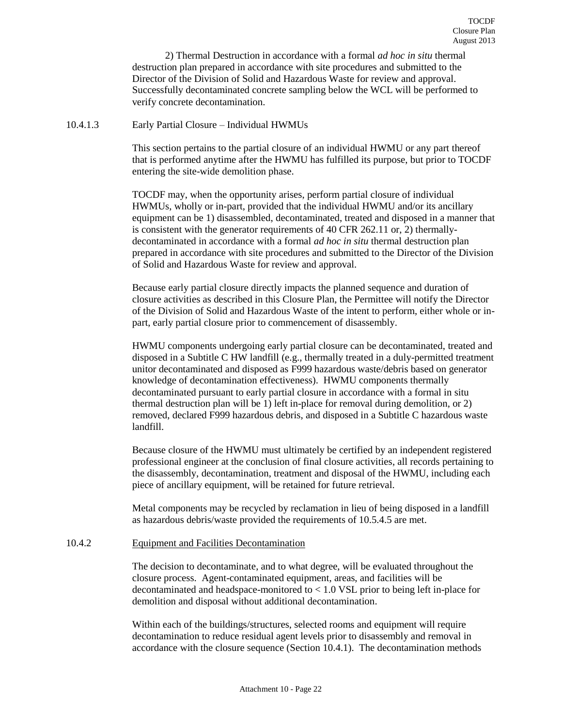2) Thermal Destruction in accordance with a formal *ad hoc in situ* thermal destruction plan prepared in accordance with site procedures and submitted to the Director of the Division of Solid and Hazardous Waste for review and approval. Successfully decontaminated concrete sampling below the WCL will be performed to verify concrete decontamination.

#### 10.4.1.3 Early Partial Closure – Individual HWMUs

This section pertains to the partial closure of an individual HWMU or any part thereof that is performed anytime after the HWMU has fulfilled its purpose, but prior to TOCDF entering the site-wide demolition phase.

TOCDF may, when the opportunity arises, perform partial closure of individual HWMUs, wholly or in-part, provided that the individual HWMU and/or its ancillary equipment can be 1) disassembled, decontaminated, treated and disposed in a manner that is consistent with the generator requirements of 40 CFR 262.11 or, 2) thermallydecontaminated in accordance with a formal *ad hoc in situ* thermal destruction plan prepared in accordance with site procedures and submitted to the Director of the Division of Solid and Hazardous Waste for review and approval.

Because early partial closure directly impacts the planned sequence and duration of closure activities as described in this Closure Plan, the Permittee will notify the Director of the Division of Solid and Hazardous Waste of the intent to perform, either whole or inpart, early partial closure prior to commencement of disassembly.

HWMU components undergoing early partial closure can be decontaminated, treated and disposed in a Subtitle C HW landfill (e.g., thermally treated in a duly-permitted treatment unitor decontaminated and disposed as F999 hazardous waste/debris based on generator knowledge of decontamination effectiveness). HWMU components thermally decontaminated pursuant to early partial closure in accordance with a formal in situ thermal destruction plan will be 1) left in-place for removal during demolition, or 2) removed, declared F999 hazardous debris, and disposed in a Subtitle C hazardous waste landfill.

Because closure of the HWMU must ultimately be certified by an independent registered professional engineer at the conclusion of final closure activities, all records pertaining to the disassembly, decontamination, treatment and disposal of the HWMU, including each piece of ancillary equipment, will be retained for future retrieval.

Metal components may be recycled by reclamation in lieu of being disposed in a landfill as hazardous debris/waste provided the requirements of 10.5.4.5 are met.

#### <span id="page-21-0"></span>10.4.2 Equipment and Facilities Decontamination

The decision to decontaminate, and to what degree, will be evaluated throughout the closure process. Agent-contaminated equipment, areas, and facilities will be decontaminated and headspace-monitored to < 1.0 VSL prior to being left in-place for demolition and disposal without additional decontamination.

Within each of the buildings/structures, selected rooms and equipment will require decontamination to reduce residual agent levels prior to disassembly and removal in accordance with the closure sequence (Section 10.4.1). The decontamination methods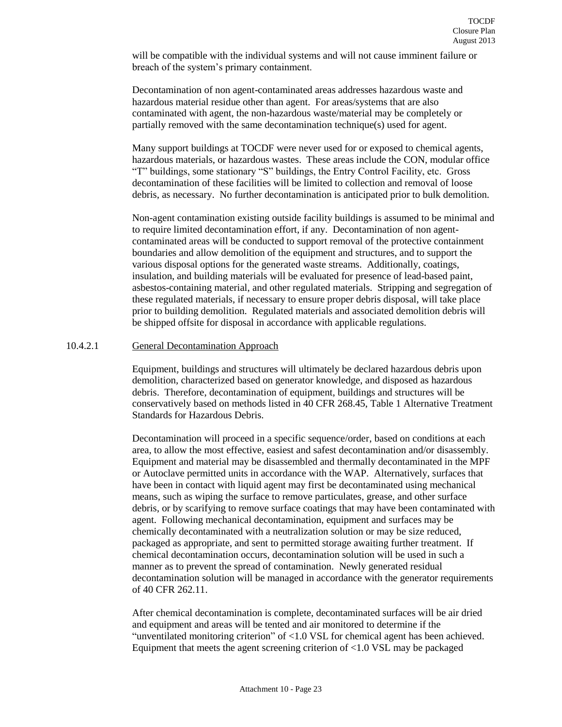will be compatible with the individual systems and will not cause imminent failure or breach of the system's primary containment.

Decontamination of non agent-contaminated areas addresses hazardous waste and hazardous material residue other than agent. For areas/systems that are also contaminated with agent, the non-hazardous waste/material may be completely or partially removed with the same decontamination technique(s) used for agent.

Many support buildings at TOCDF were never used for or exposed to chemical agents, hazardous materials, or hazardous wastes. These areas include the CON, modular office "T" buildings, some stationary "S" buildings, the Entry Control Facility, etc. Gross decontamination of these facilities will be limited to collection and removal of loose debris, as necessary. No further decontamination is anticipated prior to bulk demolition.

Non-agent contamination existing outside facility buildings is assumed to be minimal and to require limited decontamination effort, if any. Decontamination of non agentcontaminated areas will be conducted to support removal of the protective containment boundaries and allow demolition of the equipment and structures, and to support the various disposal options for the generated waste streams. Additionally, coatings, insulation, and building materials will be evaluated for presence of lead-based paint, asbestos-containing material, and other regulated materials. Stripping and segregation of these regulated materials, if necessary to ensure proper debris disposal, will take place prior to building demolition. Regulated materials and associated demolition debris will be shipped offsite for disposal in accordance with applicable regulations.

#### 10.4.2.1 General Decontamination Approach

Equipment, buildings and structures will ultimately be declared hazardous debris upon demolition, characterized based on generator knowledge, and disposed as hazardous debris. Therefore, decontamination of equipment, buildings and structures will be conservatively based on methods listed in 40 CFR 268.45, Table 1 Alternative Treatment Standards for Hazardous Debris.

Decontamination will proceed in a specific sequence/order, based on conditions at each area, to allow the most effective, easiest and safest decontamination and/or disassembly. Equipment and material may be disassembled and thermally decontaminated in the MPF or Autoclave permitted units in accordance with the WAP. Alternatively, surfaces that have been in contact with liquid agent may first be decontaminated using mechanical means, such as wiping the surface to remove particulates, grease, and other surface debris, or by scarifying to remove surface coatings that may have been contaminated with agent. Following mechanical decontamination, equipment and surfaces may be chemically decontaminated with a neutralization solution or may be size reduced, packaged as appropriate, and sent to permitted storage awaiting further treatment. If chemical decontamination occurs, decontamination solution will be used in such a manner as to prevent the spread of contamination. Newly generated residual decontamination solution will be managed in accordance with the generator requirements of 40 CFR 262.11.

After chemical decontamination is complete, decontaminated surfaces will be air dried and equipment and areas will be tented and air monitored to determine if the "unventilated monitoring criterion" of <1.0 VSL for chemical agent has been achieved. Equipment that meets the agent screening criterion of <1.0 VSL may be packaged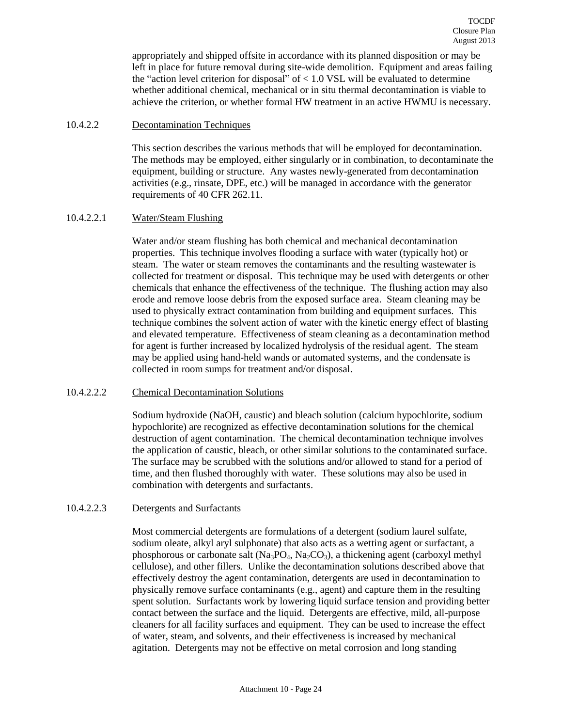appropriately and shipped offsite in accordance with its planned disposition or may be left in place for future removal during site-wide demolition. Equipment and areas failing the "action level criterion for disposal" of  $< 1.0$  VSL will be evaluated to determine whether additional chemical, mechanical or in situ thermal decontamination is viable to achieve the criterion, or whether formal HW treatment in an active HWMU is necessary.

## 10.4.2.2 Decontamination Techniques

This section describes the various methods that will be employed for decontamination. The methods may be employed, either singularly or in combination, to decontaminate the equipment, building or structure. Any wastes newly-generated from decontamination activities (e.g., rinsate, DPE, etc.) will be managed in accordance with the generator requirements of 40 CFR 262.11.

# 10.4.2.2.1 Water/Steam Flushing

Water and/or steam flushing has both chemical and mechanical decontamination properties. This technique involves flooding a surface with water (typically hot) or steam. The water or steam removes the contaminants and the resulting wastewater is collected for treatment or disposal. This technique may be used with detergents or other chemicals that enhance the effectiveness of the technique. The flushing action may also erode and remove loose debris from the exposed surface area. Steam cleaning may be used to physically extract contamination from building and equipment surfaces. This technique combines the solvent action of water with the kinetic energy effect of blasting and elevated temperature. Effectiveness of steam cleaning as a decontamination method for agent is further increased by localized hydrolysis of the residual agent. The steam may be applied using hand-held wands or automated systems, and the condensate is collected in room sumps for treatment and/or disposal.

# 10.4.2.2.2 Chemical Decontamination Solutions

Sodium hydroxide (NaOH, caustic) and bleach solution (calcium hypochlorite, sodium hypochlorite) are recognized as effective decontamination solutions for the chemical destruction of agent contamination. The chemical decontamination technique involves the application of caustic, bleach, or other similar solutions to the contaminated surface. The surface may be scrubbed with the solutions and/or allowed to stand for a period of time, and then flushed thoroughly with water. These solutions may also be used in combination with detergents and surfactants.

# 10.4.2.2.3 Detergents and Surfactants

Most commercial detergents are formulations of a detergent (sodium laurel sulfate, sodium oleate, alkyl aryl sulphonate) that also acts as a wetting agent or surfactant, a phosphorous or carbonate salt ( $Na<sub>3</sub>PO<sub>4</sub>$ ,  $Na<sub>2</sub>CO<sub>3</sub>$ ), a thickening agent (carboxyl methyl cellulose), and other fillers. Unlike the decontamination solutions described above that effectively destroy the agent contamination, detergents are used in decontamination to physically remove surface contaminants (e.g., agent) and capture them in the resulting spent solution. Surfactants work by lowering liquid surface tension and providing better contact between the surface and the liquid. Detergents are effective, mild, all-purpose cleaners for all facility surfaces and equipment. They can be used to increase the effect of water, steam, and solvents, and their effectiveness is increased by mechanical agitation. Detergents may not be effective on metal corrosion and long standing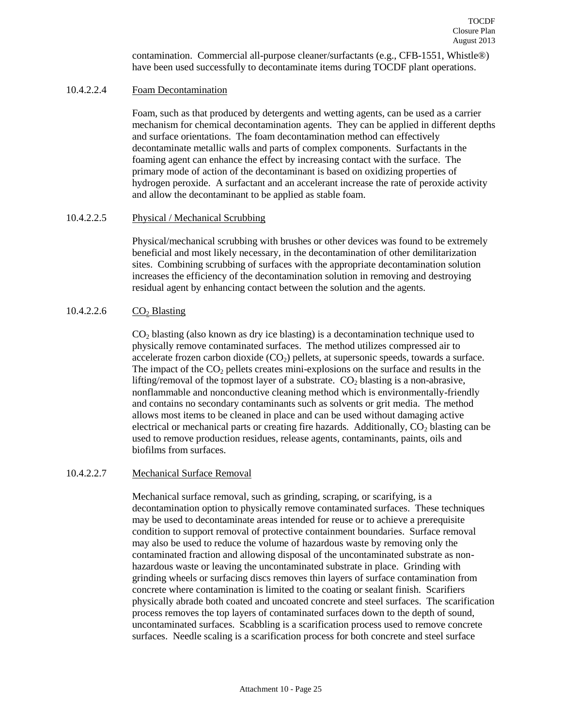contamination. Commercial all-purpose cleaner/surfactants (e.g., CFB-1551, Whistle®) have been used successfully to decontaminate items during TOCDF plant operations.

## 10.4.2.2.4 Foam Decontamination

Foam, such as that produced by detergents and wetting agents, can be used as a carrier mechanism for chemical decontamination agents. They can be applied in different depths and surface orientations. The foam decontamination method can effectively decontaminate metallic walls and parts of complex components. Surfactants in the foaming agent can enhance the effect by increasing contact with the surface. The primary mode of action of the decontaminant is based on oxidizing properties of hydrogen peroxide. A surfactant and an accelerant increase the rate of peroxide activity and allow the decontaminant to be applied as stable foam.

#### 10.4.2.2.5 Physical / Mechanical Scrubbing

Physical/mechanical scrubbing with brushes or other devices was found to be extremely beneficial and most likely necessary, in the decontamination of other demilitarization sites. Combining scrubbing of surfaces with the appropriate decontamination solution increases the efficiency of the decontamination solution in removing and destroying residual agent by enhancing contact between the solution and the agents.

## $10.4.2.2.6$  CO<sub>2</sub> Blasting

 $CO<sub>2</sub>$  blasting (also known as dry ice blasting) is a decontamination technique used to physically remove contaminated surfaces. The method utilizes compressed air to accelerate frozen carbon dioxide  $(CO<sub>2</sub>)$  pellets, at supersonic speeds, towards a surface. The impact of the  $CO<sub>2</sub>$  pellets creates mini-explosions on the surface and results in the lifting/removal of the topmost layer of a substrate.  $CO<sub>2</sub>$  blasting is a non-abrasive, nonflammable and nonconductive cleaning method which is environmentally-friendly and contains no secondary contaminants such as solvents or grit media. The method allows most items to be cleaned in place and can be used without damaging active electrical or mechanical parts or creating fire hazards. Additionally,  $CO<sub>2</sub>$  blasting can be used to remove production residues, release agents, contaminants, paints, oils and biofilms from surfaces.

#### 10.4.2.2.7 Mechanical Surface Removal

Mechanical surface removal, such as grinding, scraping, or scarifying, is a decontamination option to physically remove contaminated surfaces. These techniques may be used to decontaminate areas intended for reuse or to achieve a prerequisite condition to support removal of protective containment boundaries. Surface removal may also be used to reduce the volume of hazardous waste by removing only the contaminated fraction and allowing disposal of the uncontaminated substrate as nonhazardous waste or leaving the uncontaminated substrate in place. Grinding with grinding wheels or surfacing discs removes thin layers of surface contamination from concrete where contamination is limited to the coating or sealant finish. Scarifiers physically abrade both coated and uncoated concrete and steel surfaces. The scarification process removes the top layers of contaminated surfaces down to the depth of sound, uncontaminated surfaces. Scabbling is a scarification process used to remove concrete surfaces. Needle scaling is a scarification process for both concrete and steel surface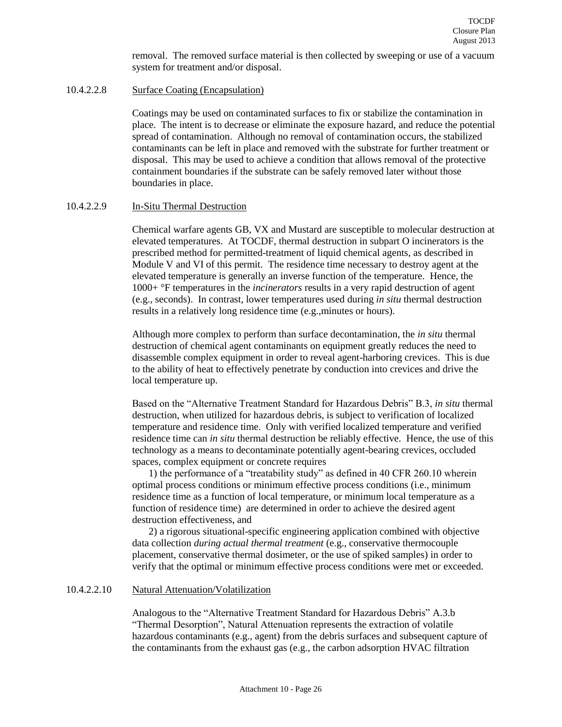removal. The removed surface material is then collected by sweeping or use of a vacuum system for treatment and/or disposal.

## 10.4.2.2.8 Surface Coating (Encapsulation)

Coatings may be used on contaminated surfaces to fix or stabilize the contamination in place. The intent is to decrease or eliminate the exposure hazard, and reduce the potential spread of contamination. Although no removal of contamination occurs, the stabilized contaminants can be left in place and removed with the substrate for further treatment or disposal. This may be used to achieve a condition that allows removal of the protective containment boundaries if the substrate can be safely removed later without those boundaries in place.

#### 10.4.2.2.9 In-Situ Thermal Destruction

Chemical warfare agents GB, VX and Mustard are susceptible to molecular destruction at elevated temperatures. At TOCDF, thermal destruction in subpart O incinerators is the prescribed method for permitted-treatment of liquid chemical agents, as described in Module V and VI of this permit. The residence time necessary to destroy agent at the elevated temperature is generally an inverse function of the temperature. Hence, the 1000+ °F temperatures in the *incinerators* results in a very rapid destruction of agent (e.g., seconds). In contrast, lower temperatures used during *in situ* thermal destruction results in a relatively long residence time (e.g.,minutes or hours).

Although more complex to perform than surface decontamination, the *in situ* thermal destruction of chemical agent contaminants on equipment greatly reduces the need to disassemble complex equipment in order to reveal agent-harboring crevices. This is due to the ability of heat to effectively penetrate by conduction into crevices and drive the local temperature up.

Based on the "Alternative Treatment Standard for Hazardous Debris" B.3, *in situ* thermal destruction, when utilized for hazardous debris, is subject to verification of localized temperature and residence time. Only with verified localized temperature and verified residence time can *in situ* thermal destruction be reliably effective. Hence, the use of this technology as a means to decontaminate potentially agent-bearing crevices, occluded spaces, complex equipment or concrete requires

1) the performance of a "treatability study" as defined in 40 CFR 260.10 wherein optimal process conditions or minimum effective process conditions (i.e., minimum residence time as a function of local temperature, or minimum local temperature as a function of residence time) are determined in order to achieve the desired agent destruction effectiveness, and

2) a rigorous situational-specific engineering application combined with objective data collection *during actual thermal treatment* (e.g., conservative thermocouple placement, conservative thermal dosimeter, or the use of spiked samples) in order to verify that the optimal or minimum effective process conditions were met or exceeded.

#### 10.4.2.2.10 Natural Attenuation/Volatilization

Analogous to the "Alternative Treatment Standard for Hazardous Debris" A.3.b "Thermal Desorption", Natural Attenuation represents the extraction of volatile hazardous contaminants (e.g., agent) from the debris surfaces and subsequent capture of the contaminants from the exhaust gas (e.g., the carbon adsorption HVAC filtration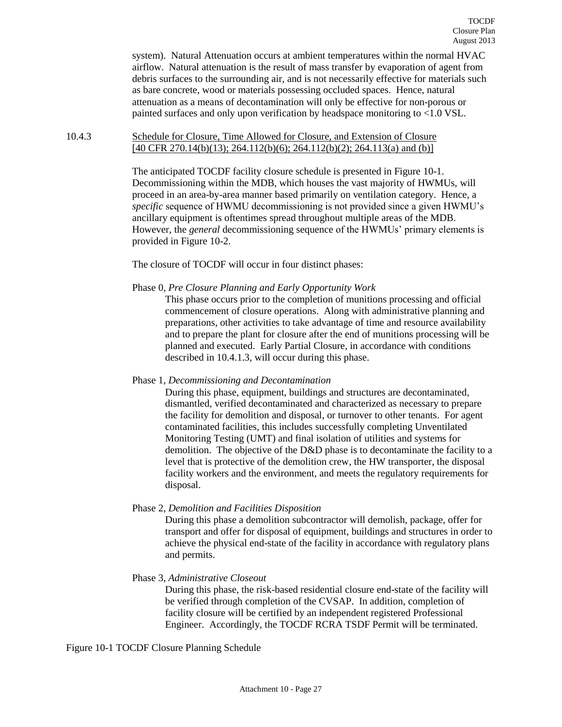system). Natural Attenuation occurs at ambient temperatures within the normal HVAC airflow. Natural attenuation is the result of mass transfer by evaporation of agent from debris surfaces to the surrounding air, and is not necessarily effective for materials such as bare concrete, wood or materials possessing occluded spaces. Hence, natural attenuation as a means of decontamination will only be effective for non-porous or painted surfaces and only upon verification by headspace monitoring to <1.0 VSL.

#### <span id="page-26-0"></span>10.4.3 Schedule for Closure, Time Allowed for Closure, and Extension of Closure [40 CFR 270.14(b)(13); 264.112(b)(6); 264.112(b)(2); 264.113(a) and (b)]

The anticipated TOCDF facility closure schedule is presented in Figure 10-1. Decommissioning within the MDB, which houses the vast majority of HWMUs, will proceed in an area-by-area manner based primarily on ventilation category. Hence, a *specific* sequence of HWMU decommissioning is not provided since a given HWMU's ancillary equipment is oftentimes spread throughout multiple areas of the MDB. However, the *general* decommissioning sequence of the HWMUs' primary elements is provided in Figure 10-2.

The closure of TOCDF will occur in four distinct phases:

Phase 0, *Pre Closure Planning and Early Opportunity Work*

This phase occurs prior to the completion of munitions processing and official commencement of closure operations. Along with administrative planning and preparations, other activities to take advantage of time and resource availability and to prepare the plant for closure after the end of munitions processing will be planned and executed. Early Partial Closure, in accordance with conditions described in 10.4.1.3, will occur during this phase.

## Phase 1, *Decommissioning and Decontamination*

During this phase, equipment, buildings and structures are decontaminated, dismantled, verified decontaminated and characterized as necessary to prepare the facility for demolition and disposal, or turnover to other tenants. For agent contaminated facilities, this includes successfully completing Unventilated Monitoring Testing (UMT) and final isolation of utilities and systems for demolition. The objective of the D&D phase is to decontaminate the facility to a level that is protective of the demolition crew, the HW transporter, the disposal facility workers and the environment, and meets the regulatory requirements for disposal.

Phase 2, *Demolition and Facilities Disposition*

During this phase a demolition subcontractor will demolish, package, offer for transport and offer for disposal of equipment, buildings and structures in order to achieve the physical end-state of the facility in accordance with regulatory plans and permits.

Phase 3, *Administrative Closeout*

During this phase, the risk-based residential closure end-state of the facility will be verified through completion of the CVSAP. In addition, completion of facility closure will be certified by an independent registered Professional Engineer. Accordingly, the TOCDF RCRA TSDF Permit will be terminated.

Figure 10-1 TOCDF Closure Planning Schedule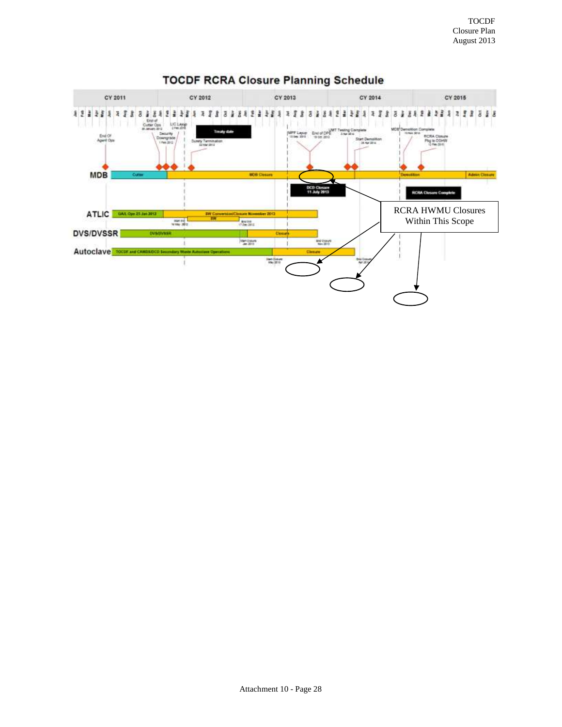

# **TOCDF RCRA Closure Planning Schedule**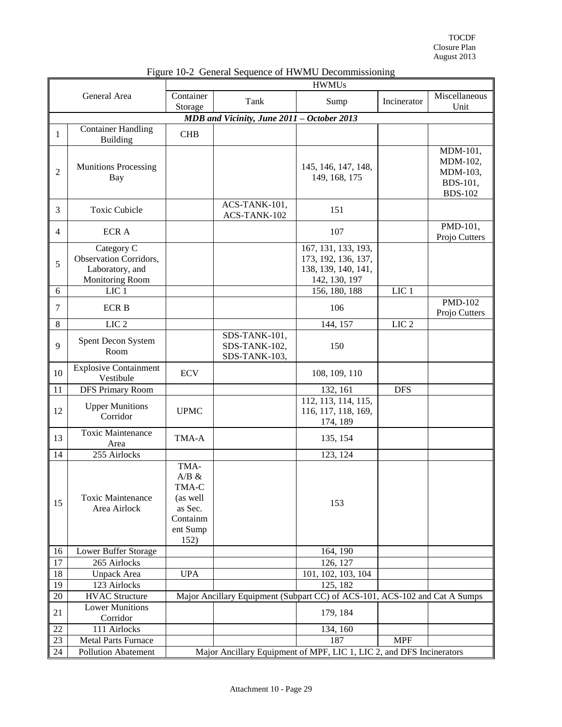TOCDF Closure Plan August 2013

|                | <b>HWMUs</b>                                                                      |                                                                               |                                                                            |                                                                                    |                  |                                                                |
|----------------|-----------------------------------------------------------------------------------|-------------------------------------------------------------------------------|----------------------------------------------------------------------------|------------------------------------------------------------------------------------|------------------|----------------------------------------------------------------|
| General Area   |                                                                                   | Container<br>Storage                                                          | Tank                                                                       | Sump                                                                               | Incinerator      | Miscellaneous<br>Unit                                          |
|                |                                                                                   |                                                                               | MDB and Vicinity, June 2011 - October 2013                                 |                                                                                    |                  |                                                                |
| 1              | <b>Container Handling</b><br>Building                                             | <b>CHB</b>                                                                    |                                                                            |                                                                                    |                  |                                                                |
| $\overline{2}$ | <b>Munitions Processing</b><br>Bay                                                |                                                                               |                                                                            | 145, 146, 147, 148,<br>149, 168, 175                                               |                  | MDM-101,<br>MDM-102,<br>MDM-103,<br>BDS-101,<br><b>BDS-102</b> |
| 3              | <b>Toxic Cubicle</b>                                                              |                                                                               | ACS-TANK-101,<br>ACS-TANK-102                                              | 151                                                                                |                  |                                                                |
| 4              | <b>ECRA</b>                                                                       |                                                                               |                                                                            | 107                                                                                |                  | PMD-101,<br>Projo Cutters                                      |
| 5              | Category C<br>Observation Corridors,<br>Laboratory, and<br><b>Monitoring Room</b> |                                                                               |                                                                            | 167, 131, 133, 193,<br>173, 192, 136, 137,<br>138, 139, 140, 141,<br>142, 130, 197 |                  |                                                                |
| 6              | LIC <sub>1</sub>                                                                  |                                                                               |                                                                            | 156, 180, 188                                                                      | LIC <sub>1</sub> |                                                                |
| 7              | <b>ECRB</b>                                                                       |                                                                               |                                                                            | 106                                                                                |                  | <b>PMD-102</b><br>Projo Cutters                                |
| 8              | LIC <sub>2</sub>                                                                  |                                                                               |                                                                            | 144, 157                                                                           | LIC <sub>2</sub> |                                                                |
| 9              | Spent Decon System<br>Room                                                        |                                                                               | SDS-TANK-101,<br>SDS-TANK-102,<br>SDS-TANK-103,                            | 150                                                                                |                  |                                                                |
| 10             | <b>Explosive Containment</b><br>Vestibule                                         | <b>ECV</b>                                                                    |                                                                            | 108, 109, 110                                                                      |                  |                                                                |
| 11             | <b>DFS Primary Room</b>                                                           |                                                                               |                                                                            | 132, 161                                                                           | <b>DFS</b>       |                                                                |
| 12             | <b>Upper Munitions</b><br>Corridor                                                | <b>UPMC</b>                                                                   |                                                                            | 112, 113, 114, 115,<br>116, 117, 118, 169,<br>174, 189                             |                  |                                                                |
| 13             | <b>Toxic Maintenance</b><br>Area                                                  | TMA-A                                                                         |                                                                            | 135, 154                                                                           |                  |                                                                |
| 14             | 255 Airlocks                                                                      |                                                                               |                                                                            | 123, 124                                                                           |                  |                                                                |
| 15             | <b>Toxic Maintenance</b><br>Area Airlock                                          | TMA-<br>A/B &<br>TMA-C<br>(as well<br>as Sec.<br>Containm<br>ent Sump<br>152) |                                                                            | 153                                                                                |                  |                                                                |
| 16             | Lower Buffer Storage                                                              |                                                                               |                                                                            | 164, 190                                                                           |                  |                                                                |
| 17             | 265 Airlocks                                                                      |                                                                               |                                                                            | 126, 127                                                                           |                  |                                                                |
| 18             | <b>Unpack Area</b>                                                                | <b>UPA</b>                                                                    |                                                                            | 101, 102, 103, 104                                                                 |                  |                                                                |
| 19             | 123 Airlocks                                                                      |                                                                               |                                                                            | 125, 182                                                                           |                  |                                                                |
| $20\,$         | <b>HVAC Structure</b>                                                             |                                                                               | Major Ancillary Equipment (Subpart CC) of ACS-101, ACS-102 and Cat A Sumps |                                                                                    |                  |                                                                |
| 21             | <b>Lower Munitions</b><br>Corridor                                                |                                                                               |                                                                            | 179, 184                                                                           |                  |                                                                |
| 22             | 111 Airlocks                                                                      |                                                                               |                                                                            | 134, 160                                                                           |                  |                                                                |
| 23             | <b>Metal Parts Furnace</b>                                                        |                                                                               |                                                                            | 187                                                                                | <b>MPF</b>       |                                                                |
| 24             | <b>Pollution Abatement</b>                                                        |                                                                               | Major Ancillary Equipment of MPF, LIC 1, LIC 2, and DFS Incinerators       |                                                                                    |                  |                                                                |

## Figure 10-2 General Sequence of HWMU Decommissioning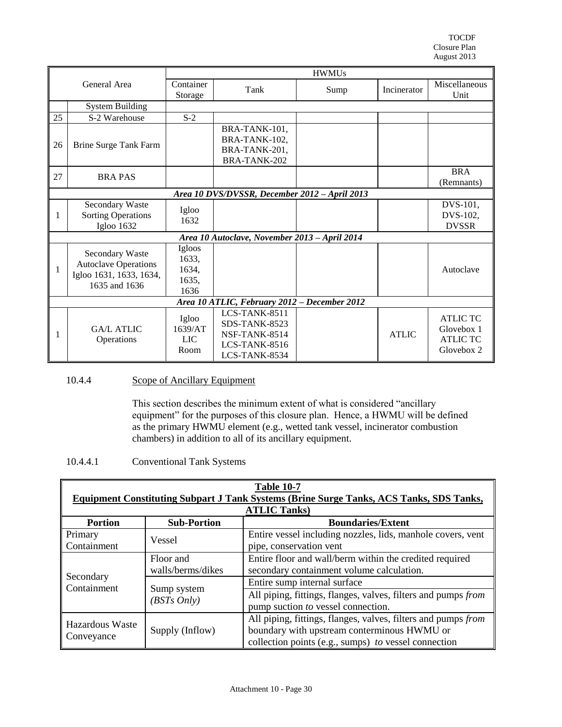TOCDF Closure Plan August 2013

| General Area |                                                                                            |                                           | <b>HWMUs</b>                                                                      |      |              |                                                                |
|--------------|--------------------------------------------------------------------------------------------|-------------------------------------------|-----------------------------------------------------------------------------------|------|--------------|----------------------------------------------------------------|
|              |                                                                                            | Container<br>Storage                      | Tank                                                                              | Sump | Incinerator  | Miscellaneous<br>Unit                                          |
|              | <b>System Building</b>                                                                     |                                           |                                                                                   |      |              |                                                                |
| 25           | S-2 Warehouse                                                                              | $S-2$                                     |                                                                                   |      |              |                                                                |
| 26           | Brine Surge Tank Farm                                                                      |                                           | BRA-TANK-101,<br>BRA-TANK-102,<br>BRA-TANK-201,<br>BRA-TANK-202                   |      |              |                                                                |
| 27           | <b>BRAPAS</b>                                                                              |                                           |                                                                                   |      |              | <b>BRA</b><br>(Remnants)                                       |
|              |                                                                                            |                                           | Area 10 DVS/DVSSR, December 2012 - April 2013                                     |      |              |                                                                |
| 1            | <b>Secondary Waste</b><br><b>Sorting Operations</b><br>Igloo 1632                          | Igloo<br>1632                             |                                                                                   |      |              | DVS-101,<br>DVS-102,<br><b>DVSSR</b>                           |
|              |                                                                                            |                                           | Area 10 Autoclave, November 2013 - April 2014                                     |      |              |                                                                |
| 1            | Secondary Waste<br><b>Autoclave Operations</b><br>Igloo 1631, 1633, 1634,<br>1635 and 1636 | Igloos<br>1633,<br>1634,<br>1635,<br>1636 |                                                                                   |      |              | Autoclave                                                      |
|              | Area 10 ATLIC, February 2012 - December 2012                                               |                                           |                                                                                   |      |              |                                                                |
| 1            | <b>GA/L ATLIC</b><br>Operations                                                            | Igloo<br>1639/AT<br>LIC.<br>Room          | LCS-TANK-8511<br>SDS-TANK-8523<br>NSF-TANK-8514<br>LCS-TANK-8516<br>LCS-TANK-8534 |      | <b>ATLIC</b> | <b>ATLIC TC</b><br>Glovebox 1<br><b>ATLIC TC</b><br>Glovebox 2 |

# <span id="page-29-0"></span>10.4.4 Scope of Ancillary Equipment

This section describes the minimum extent of what is considered "ancillary equipment" for the purposes of this closure plan. Hence, a HWMU will be defined as the primary HWMU element (e.g., wetted tank vessel, incinerator combustion chambers) in addition to all of its ancillary equipment.

#### 10.4.4.1 Conventional Tank Systems

| <b>Table 10-7</b><br><b>Equipment Constituting Subpart J Tank Systems (Brine Surge Tanks, ACS Tanks, SDS Tanks,</b> |                                |                                                                                                                                                                      |  |  |
|---------------------------------------------------------------------------------------------------------------------|--------------------------------|----------------------------------------------------------------------------------------------------------------------------------------------------------------------|--|--|
|                                                                                                                     |                                | <b>ATLIC Tanks</b> )                                                                                                                                                 |  |  |
| <b>Portion</b>                                                                                                      | <b>Sub-Portion</b>             | <b>Boundaries/Extent</b>                                                                                                                                             |  |  |
| Primary<br>Containment                                                                                              | Vessel                         | Entire vessel including nozzles, lids, manhole covers, vent<br>pipe, conservation vent                                                                               |  |  |
|                                                                                                                     | Floor and<br>walls/berms/dikes | Entire floor and wall/berm within the credited required<br>secondary containment volume calculation.                                                                 |  |  |
| Secondary<br>Containment                                                                                            | Sump system<br>(BSTs Only)     | Entire sump internal surface                                                                                                                                         |  |  |
|                                                                                                                     |                                | All piping, fittings, flanges, valves, filters and pumps from<br>pump suction to vessel connection.                                                                  |  |  |
| Hazardous Waste<br>Conveyance                                                                                       | Supply (Inflow)                | All piping, fittings, flanges, valves, filters and pumps from<br>boundary with upstream conterminous HWMU or<br>collection points (e.g., sumps) to vessel connection |  |  |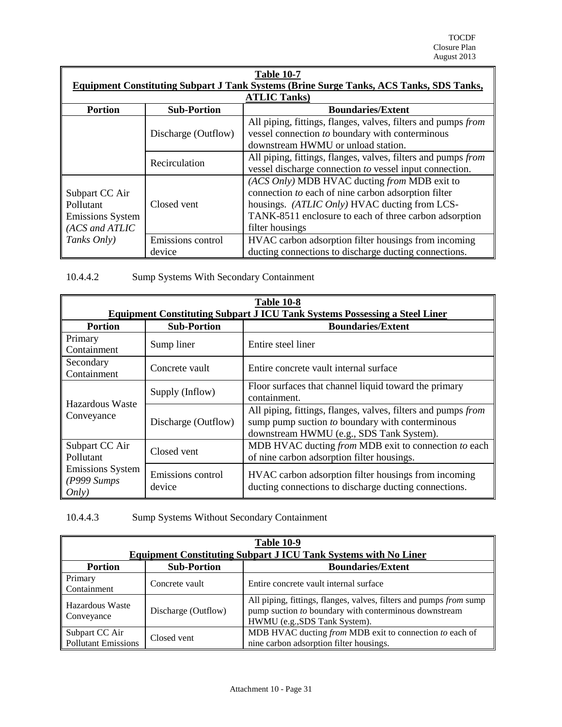TOCDF Closure Plan August 2013

| <b>Table 10-7</b>                                                        |                                                                                                |                                                                                                                                                                                                                                   |  |  |  |  |
|--------------------------------------------------------------------------|------------------------------------------------------------------------------------------------|-----------------------------------------------------------------------------------------------------------------------------------------------------------------------------------------------------------------------------------|--|--|--|--|
|                                                                          | <b>Equipment Constituting Subpart J Tank Systems (Brine Surge Tanks, ACS Tanks, SDS Tanks,</b> |                                                                                                                                                                                                                                   |  |  |  |  |
|                                                                          |                                                                                                | <b>ATLIC Tanks</b> )                                                                                                                                                                                                              |  |  |  |  |
| <b>Portion</b>                                                           | <b>Sub-Portion</b>                                                                             | <b>Boundaries/Extent</b>                                                                                                                                                                                                          |  |  |  |  |
|                                                                          | Discharge (Outflow)                                                                            | All piping, fittings, flanges, valves, filters and pumps from<br>vessel connection to boundary with conterminous<br>downstream HWMU or unload station.                                                                            |  |  |  |  |
|                                                                          | Recirculation                                                                                  | All piping, fittings, flanges, valves, filters and pumps from<br>vessel discharge connection to vessel input connection.                                                                                                          |  |  |  |  |
| Subpart CC Air<br>Pollutant<br><b>Emissions System</b><br>(ACS and ATLIC | Closed vent                                                                                    | (ACS Only) MDB HVAC ducting from MDB exit to<br>connection to each of nine carbon adsorption filter<br>housings. (ATLIC Only) HVAC ducting from LCS-<br>TANK-8511 enclosure to each of three carbon adsorption<br>filter housings |  |  |  |  |
| Tanks Only)                                                              | Emissions control<br>device                                                                    | HVAC carbon adsorption filter housings from incoming<br>ducting connections to discharge ducting connections.                                                                                                                     |  |  |  |  |

10.4.4.2 Sump Systems With Secondary Containment

| <b>Table 10-8</b>                                              |                             |                                                                                                                                                                |  |  |
|----------------------------------------------------------------|-----------------------------|----------------------------------------------------------------------------------------------------------------------------------------------------------------|--|--|
|                                                                |                             | <b>Equipment Constituting Subpart J ICU Tank Systems Possessing a Steel Liner</b>                                                                              |  |  |
| <b>Portion</b>                                                 | <b>Sub-Portion</b>          | <b>Boundaries/Extent</b>                                                                                                                                       |  |  |
| Primary<br>Containment                                         | Sump liner                  | Entire steel liner                                                                                                                                             |  |  |
| Secondary<br>Containment                                       | Concrete vault              | Entire concrete vault internal surface                                                                                                                         |  |  |
| Hazardous Waste                                                | Supply (Inflow)             | Floor surfaces that channel liquid toward the primary<br>containment.                                                                                          |  |  |
| Conveyance                                                     | Discharge (Outflow)         | All piping, fittings, flanges, valves, filters and pumps from<br>sump pump suction $to$ boundary with conterminous<br>downstream HWMU (e.g., SDS Tank System). |  |  |
| Subpart CC Air<br>Pollutant                                    | Closed vent                 | MDB HVAC ducting from MDB exit to connection to each<br>of nine carbon adsorption filter housings.                                                             |  |  |
| <b>Emissions System</b><br>$(P999 \, \textit{Sumps})$<br>Only) | Emissions control<br>device | HVAC carbon adsorption filter housings from incoming<br>ducting connections to discharge ducting connections.                                                  |  |  |

10.4.4.3 Sump Systems Without Secondary Containment

| <b>Table 10-9</b><br><b>Equipment Constituting Subpart J ICU Tank Systems with No Liner</b> |                     |                                                                                                                                                              |  |  |
|---------------------------------------------------------------------------------------------|---------------------|--------------------------------------------------------------------------------------------------------------------------------------------------------------|--|--|
| <b>Sub-Portion</b><br><b>Boundaries/Extent</b><br><b>Portion</b>                            |                     |                                                                                                                                                              |  |  |
| Primary<br>Containment                                                                      | Concrete vault      | Entire concrete vault internal surface                                                                                                                       |  |  |
| Hazardous Waste<br>Conveyance                                                               | Discharge (Outflow) | All piping, fittings, flanges, valves, filters and pumps from sump<br>pump suction to boundary with conterminous downstream<br>HWMU (e.g., SDS Tank System). |  |  |
| Subpart CC Air<br><b>Pollutant Emissions</b>                                                | Closed vent         | MDB HVAC ducting from MDB exit to connection to each of<br>nine carbon adsorption filter housings.                                                           |  |  |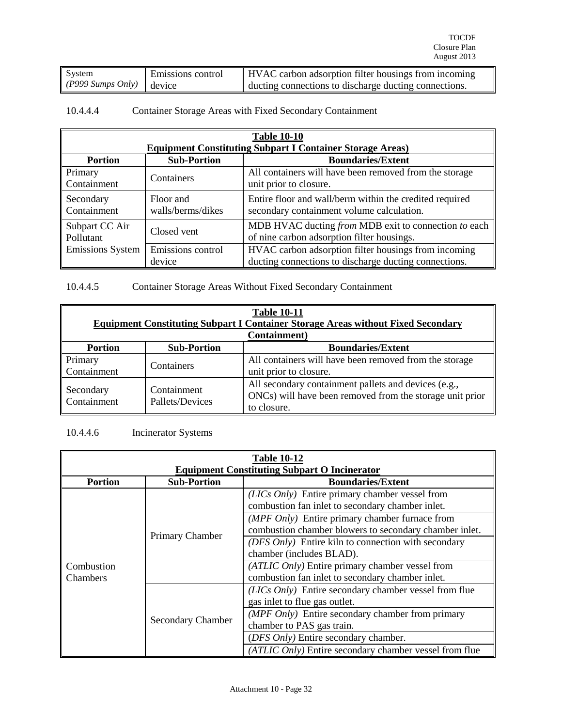| System                           | Emissions control | <b>HVAC</b> carbon adsorption filter housings from incoming |
|----------------------------------|-------------------|-------------------------------------------------------------|
| (P999 Sumps Only) $\vert$ device |                   | ducting connections to discharge ducting connections.       |

# 10.4.4.4 Container Storage Areas with Fixed Secondary Containment

| <b>Table 10-10</b>                                         |                                                |                                                                                                               |  |  |
|------------------------------------------------------------|------------------------------------------------|---------------------------------------------------------------------------------------------------------------|--|--|
|                                                            |                                                | <b>Equipment Constituting Subpart I Container Storage Areas)</b>                                              |  |  |
| <b>Portion</b>                                             | <b>Sub-Portion</b><br><b>Boundaries/Extent</b> |                                                                                                               |  |  |
| Primary<br>Containment                                     | Containers                                     | All containers will have been removed from the storage<br>unit prior to closure.                              |  |  |
| Floor and<br>Secondary<br>Containment<br>walls/berms/dikes |                                                | Entire floor and wall/berm within the credited required<br>secondary containment volume calculation.          |  |  |
| Subpart CC Air<br>Pollutant                                | Closed vent                                    | MDB HVAC ducting from MDB exit to connection to each<br>of nine carbon adsorption filter housings.            |  |  |
| Emissions control<br><b>Emissions System</b><br>device     |                                                | HVAC carbon adsorption filter housings from incoming<br>ducting connections to discharge ducting connections. |  |  |

10.4.4.5 Container Storage Areas Without Fixed Secondary Containment

| <b>Table 10-11</b><br><b>Equipment Constituting Subpart I Container Storage Areas without Fixed Secondary</b> |                                |                                                                                                                                 |  |
|---------------------------------------------------------------------------------------------------------------|--------------------------------|---------------------------------------------------------------------------------------------------------------------------------|--|
|                                                                                                               |                                | Containment)                                                                                                                    |  |
| <b>Portion</b>                                                                                                | <b>Sub-Portion</b>             | <b>Boundaries/Extent</b>                                                                                                        |  |
| Primary<br>Containment                                                                                        | Containers                     | All containers will have been removed from the storage<br>unit prior to closure.                                                |  |
| Secondary<br>Containment                                                                                      | Containment<br>Pallets/Devices | All secondary containment pallets and devices (e.g.,<br>ONCs) will have been removed from the storage unit prior<br>to closure. |  |

# 10.4.4.6 Incinerator Systems

| <b>Table 10-12</b> |                                                     |                                                            |  |  |  |
|--------------------|-----------------------------------------------------|------------------------------------------------------------|--|--|--|
|                    | <b>Equipment Constituting Subpart O Incinerator</b> |                                                            |  |  |  |
| <b>Portion</b>     | <b>Sub-Portion</b>                                  | <b>Boundaries/Extent</b>                                   |  |  |  |
|                    |                                                     | (LICs Only) Entire primary chamber vessel from             |  |  |  |
|                    |                                                     | combustion fan inlet to secondary chamber inlet.           |  |  |  |
|                    | Primary Chamber                                     | (MPF Only) Entire primary chamber furnace from             |  |  |  |
|                    |                                                     | combustion chamber blowers to secondary chamber inlet.     |  |  |  |
|                    |                                                     | (DFS Only) Entire kiln to connection with secondary        |  |  |  |
|                    |                                                     | chamber (includes BLAD).                                   |  |  |  |
| Combustion         |                                                     | (ATLIC Only) Entire primary chamber vessel from            |  |  |  |
| <b>Chambers</b>    |                                                     | combustion fan inlet to secondary chamber inlet.           |  |  |  |
|                    |                                                     | (LICs Only) Entire secondary chamber vessel from flue      |  |  |  |
|                    |                                                     | gas inlet to flue gas outlet.                              |  |  |  |
|                    |                                                     | $(MPF \text{ Only})$ Entire secondary chamber from primary |  |  |  |
|                    | <b>Secondary Chamber</b>                            | chamber to PAS gas train.                                  |  |  |  |
|                    |                                                     | (DFS Only) Entire secondary chamber.                       |  |  |  |
|                    |                                                     | (ATLIC Only) Entire secondary chamber vessel from flue     |  |  |  |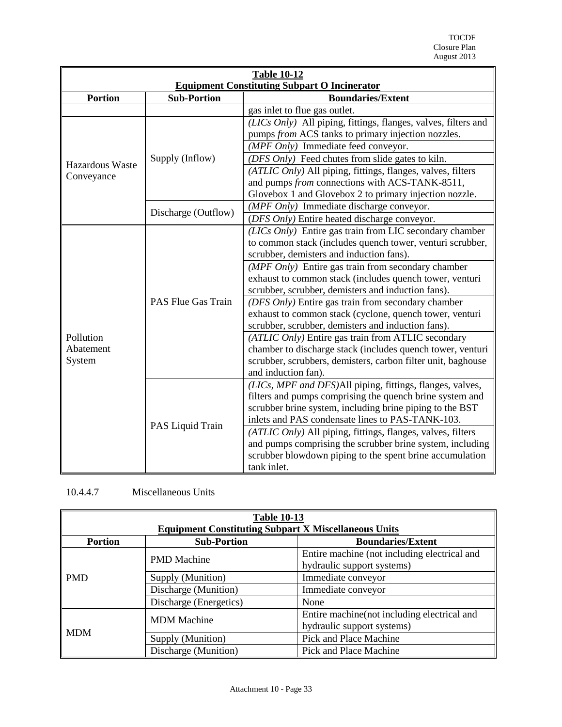| <b>Table 10-12</b>                                  |                     |                                                                |  |  |
|-----------------------------------------------------|---------------------|----------------------------------------------------------------|--|--|
| <b>Equipment Constituting Subpart O Incinerator</b> |                     |                                                                |  |  |
| <b>Portion</b><br><b>Sub-Portion</b>                |                     | <b>Boundaries/Extent</b>                                       |  |  |
|                                                     |                     | gas inlet to flue gas outlet.                                  |  |  |
|                                                     |                     | (LICs Only) All piping, fittings, flanges, valves, filters and |  |  |
|                                                     |                     | pumps from ACS tanks to primary injection nozzles.             |  |  |
|                                                     |                     | (MPF Only) Immediate feed conveyor.                            |  |  |
| Hazardous Waste                                     | Supply (Inflow)     | (DFS Only) Feed chutes from slide gates to kiln.               |  |  |
| Conveyance                                          |                     | (ATLIC Only) All piping, fittings, flanges, valves, filters    |  |  |
|                                                     |                     | and pumps from connections with ACS-TANK-8511,                 |  |  |
|                                                     |                     | Glovebox 1 and Glovebox 2 to primary injection nozzle.         |  |  |
|                                                     |                     | (MPF Only) Immediate discharge conveyor.                       |  |  |
|                                                     | Discharge (Outflow) | (DFS Only) Entire heated discharge conveyor.                   |  |  |
|                                                     |                     | (LICs Only) Entire gas train from LIC secondary chamber        |  |  |
|                                                     |                     | to common stack (includes quench tower, venturi scrubber,      |  |  |
|                                                     |                     | scrubber, demisters and induction fans).                       |  |  |
|                                                     |                     | (MPF Only) Entire gas train from secondary chamber             |  |  |
|                                                     |                     | exhaust to common stack (includes quench tower, venturi        |  |  |
|                                                     |                     | scrubber, scrubber, demisters and induction fans).             |  |  |
|                                                     | PAS Flue Gas Train  | (DFS Only) Entire gas train from secondary chamber             |  |  |
|                                                     |                     | exhaust to common stack (cyclone, quench tower, venturi        |  |  |
|                                                     |                     | scrubber, scrubber, demisters and induction fans).             |  |  |
| Pollution                                           |                     | (ATLIC Only) Entire gas train from ATLIC secondary             |  |  |
| Abatement                                           |                     | chamber to discharge stack (includes quench tower, venturi     |  |  |
| System                                              |                     | scrubber, scrubbers, demisters, carbon filter unit, baghouse   |  |  |
|                                                     |                     | and induction fan)                                             |  |  |
|                                                     |                     | (LICs, MPF and DFS)All piping, fittings, flanges, valves,      |  |  |
|                                                     |                     | filters and pumps comprising the quench brine system and       |  |  |
|                                                     |                     | scrubber brine system, including brine piping to the BST       |  |  |
|                                                     | PAS Liquid Train    | inlets and PAS condensate lines to PAS-TANK-103.               |  |  |
|                                                     |                     | (ATLIC Only) All piping, fittings, flanges, valves, filters    |  |  |
|                                                     |                     | and pumps comprising the scrubber brine system, including      |  |  |
|                                                     |                     | scrubber blowdown piping to the spent brine accumulation       |  |  |
|                                                     |                     | tank inlet.                                                    |  |  |

# 10.4.4.7 Miscellaneous Units

| <b>Table 10-13</b> |                                                                                                               |                                                                            |  |  |
|--------------------|---------------------------------------------------------------------------------------------------------------|----------------------------------------------------------------------------|--|--|
| <b>Portion</b>     | <b>Equipment Constituting Subpart X Miscellaneous Units</b><br><b>Sub-Portion</b><br><b>Boundaries/Extent</b> |                                                                            |  |  |
|                    | <b>PMD</b> Machine                                                                                            | Entire machine (not including electrical and<br>hydraulic support systems) |  |  |
| <b>PMD</b>         | Supply (Munition)                                                                                             | Immediate conveyor                                                         |  |  |
|                    | Discharge (Munition)                                                                                          | Immediate conveyor                                                         |  |  |
|                    | Discharge (Energetics)                                                                                        | None                                                                       |  |  |
|                    | <b>MDM</b> Machine                                                                                            | Entire machine (not including electrical and<br>hydraulic support systems) |  |  |
| $\mathsf{I}$ MDM   | Supply (Munition)                                                                                             | Pick and Place Machine                                                     |  |  |
|                    | Discharge (Munition)                                                                                          | Pick and Place Machine                                                     |  |  |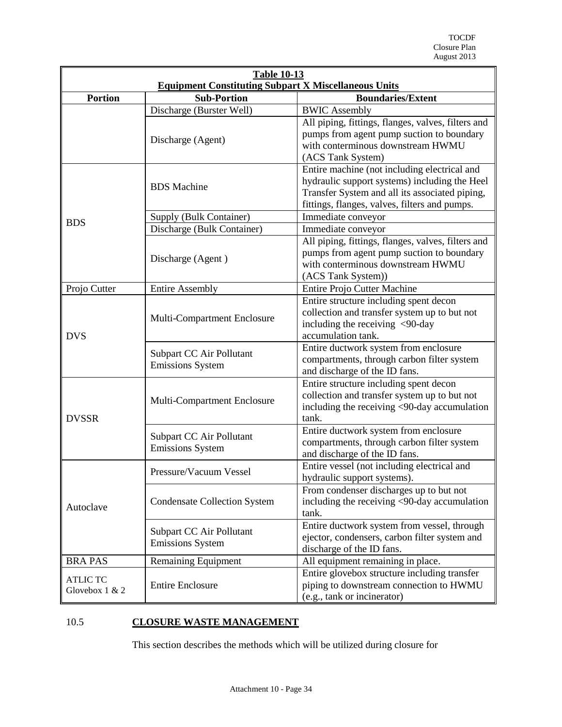|                                   | <b>Table 10-13</b><br><b>Equipment Constituting Subpart X Miscellaneous Units</b> |                                                                                                                                                                                                  |  |  |  |
|-----------------------------------|-----------------------------------------------------------------------------------|--------------------------------------------------------------------------------------------------------------------------------------------------------------------------------------------------|--|--|--|
| <b>Portion</b>                    | <b>Sub-Portion</b>                                                                | <b>Boundaries/Extent</b>                                                                                                                                                                         |  |  |  |
|                                   | Discharge (Burster Well)                                                          | <b>BWIC Assembly</b>                                                                                                                                                                             |  |  |  |
|                                   | Discharge (Agent)                                                                 | All piping, fittings, flanges, valves, filters and<br>pumps from agent pump suction to boundary<br>with conterminous downstream HWMU<br>(ACS Tank System)                                        |  |  |  |
|                                   | <b>BDS</b> Machine                                                                | Entire machine (not including electrical and<br>hydraulic support systems) including the Heel<br>Transfer System and all its associated piping,<br>fittings, flanges, valves, filters and pumps. |  |  |  |
| <b>BDS</b>                        | Supply (Bulk Container)                                                           | Immediate conveyor                                                                                                                                                                               |  |  |  |
|                                   | Discharge (Bulk Container)                                                        | Immediate conveyor                                                                                                                                                                               |  |  |  |
|                                   | Discharge (Agent)                                                                 | All piping, fittings, flanges, valves, filters and<br>pumps from agent pump suction to boundary<br>with conterminous downstream HWMU<br>(ACS Tank System))                                       |  |  |  |
| Projo Cutter                      | <b>Entire Assembly</b>                                                            | Entire Projo Cutter Machine                                                                                                                                                                      |  |  |  |
| <b>DVS</b>                        | Multi-Compartment Enclosure                                                       | Entire structure including spent decon<br>collection and transfer system up to but not<br>including the receiving <90-day<br>accumulation tank.                                                  |  |  |  |
|                                   | Subpart CC Air Pollutant<br><b>Emissions System</b>                               | Entire ductwork system from enclosure<br>compartments, through carbon filter system<br>and discharge of the ID fans.                                                                             |  |  |  |
| <b>DVSSR</b>                      | Multi-Compartment Enclosure                                                       | Entire structure including spent decon<br>collection and transfer system up to but not<br>including the receiving <90-day accumulation<br>tank.                                                  |  |  |  |
|                                   | Subpart CC Air Pollutant<br><b>Emissions System</b>                               | Entire ductwork system from enclosure<br>compartments, through carbon filter system<br>and discharge of the ID fans.                                                                             |  |  |  |
|                                   | Pressure/Vacuum Vessel                                                            | Entire vessel (not including electrical and<br>hydraulic support systems).                                                                                                                       |  |  |  |
| Autoclave                         | <b>Condensate Collection System</b>                                               | From condenser discharges up to but not<br>including the receiving <90-day accumulation<br>tank.                                                                                                 |  |  |  |
|                                   | Subpart CC Air Pollutant<br><b>Emissions System</b>                               | Entire ductwork system from vessel, through<br>ejector, condensers, carbon filter system and<br>discharge of the ID fans.                                                                        |  |  |  |
| <b>BRA PAS</b>                    | Remaining Equipment                                                               | All equipment remaining in place.                                                                                                                                                                |  |  |  |
| <b>ATLIC TC</b><br>Glovebox 1 & 2 | <b>Entire Enclosure</b>                                                           | Entire glovebox structure including transfer<br>piping to downstream connection to HWMU<br>(e.g., tank or incinerator)                                                                           |  |  |  |

# <span id="page-33-0"></span>10.5 **CLOSURE WASTE MANAGEMENT**

This section describes the methods which will be utilized during closure for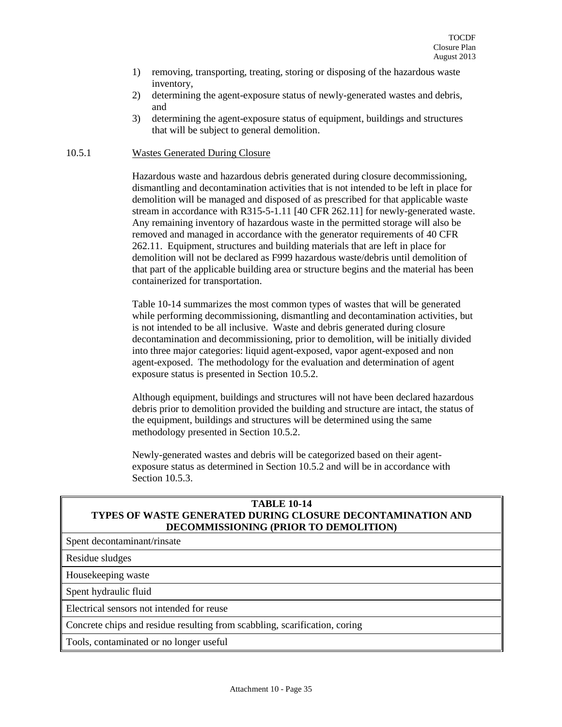- 1) removing, transporting, treating, storing or disposing of the hazardous waste inventory,
- 2) determining the agent-exposure status of newly-generated wastes and debris, and
- 3) determining the agent-exposure status of equipment, buildings and structures that will be subject to general demolition.

#### <span id="page-34-0"></span>10.5.1 Wastes Generated During Closure

Hazardous waste and hazardous debris generated during closure decommissioning, dismantling and decontamination activities that is not intended to be left in place for demolition will be managed and disposed of as prescribed for that applicable waste stream in accordance with R315-5-1.11 [40 CFR 262.11] for newly-generated waste. Any remaining inventory of hazardous waste in the permitted storage will also be removed and managed in accordance with the generator requirements of 40 CFR 262.11. Equipment, structures and building materials that are left in place for demolition will not be declared as F999 hazardous waste/debris until demolition of that part of the applicable building area or structure begins and the material has been containerized for transportation.

Table 10-14 summarizes the most common types of wastes that will be generated while performing decommissioning, dismantling and decontamination activities, but is not intended to be all inclusive. Waste and debris generated during closure decontamination and decommissioning, prior to demolition, will be initially divided into three major categories: liquid agent-exposed, vapor agent-exposed and non agent-exposed. The methodology for the evaluation and determination of agent exposure status is presented in Section 10.5.2.

Although equipment, buildings and structures will not have been declared hazardous debris prior to demolition provided the building and structure are intact, the status of the equipment, buildings and structures will be determined using the same methodology presented in Section 10.5.2.

Newly-generated wastes and debris will be categorized based on their agentexposure status as determined in Section 10.5.2 and will be in accordance with Section 10.5.3.

## **TABLE 10-14 TYPES OF WASTE GENERATED DURING CLOSURE DECONTAMINATION AND DECOMMISSIONING (PRIOR TO DEMOLITION)**

Spent decontaminant/rinsate

Residue sludges

Housekeeping waste

Spent hydraulic fluid

Electrical sensors not intended for reuse

Concrete chips and residue resulting from scabbling, scarification, coring

Tools, contaminated or no longer useful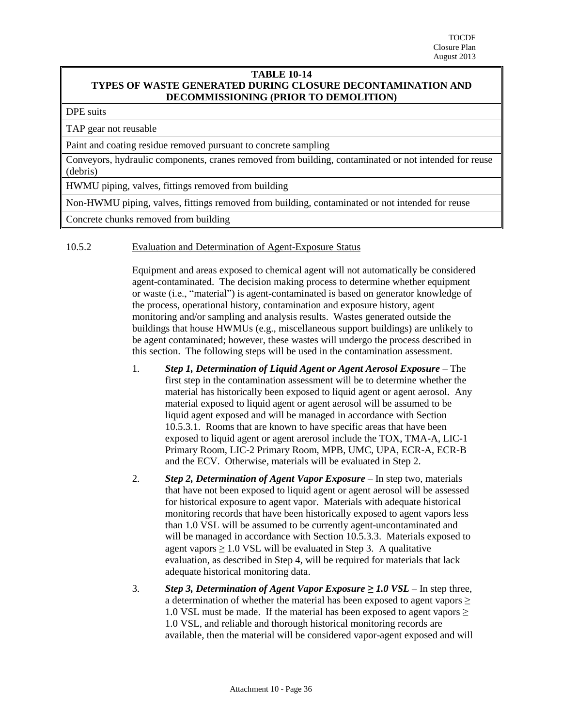#### **TABLE 10-14 TYPES OF WASTE GENERATED DURING CLOSURE DECONTAMINATION AND DECOMMISSIONING (PRIOR TO DEMOLITION)**

#### DPE suits

TAP gear not reusable

Paint and coating residue removed pursuant to concrete sampling

Conveyors, hydraulic components, cranes removed from building, contaminated or not intended for reuse (debris)

HWMU piping, valves, fittings removed from building

Non-HWMU piping, valves, fittings removed from building, contaminated or not intended for reuse

Concrete chunks removed from building

#### <span id="page-35-0"></span>10.5.2 Evaluation and Determination of Agent-Exposure Status

Equipment and areas exposed to chemical agent will not automatically be considered agent-contaminated. The decision making process to determine whether equipment or waste (i.e., "material") is agent-contaminated is based on generator knowledge of the process, operational history, contamination and exposure history, agent monitoring and/or sampling and analysis results. Wastes generated outside the buildings that house HWMUs (e.g., miscellaneous support buildings) are unlikely to be agent contaminated; however, these wastes will undergo the process described in this section. The following steps will be used in the contamination assessment.

- 1. *Step 1, Determination of Liquid Agent or Agent Aerosol Exposure* The first step in the contamination assessment will be to determine whether the material has historically been exposed to liquid agent or agent aerosol. Any material exposed to liquid agent or agent aerosol will be assumed to be liquid agent exposed and will be managed in accordance with Section 10.5.3.1. Rooms that are known to have specific areas that have been exposed to liquid agent or agent arerosol include the TOX, TMA-A, LIC-1 Primary Room, LIC-2 Primary Room, MPB, UMC, UPA, ECR-A, ECR-B and the ECV. Otherwise, materials will be evaluated in Step 2.
- 2. *Step 2, Determination of Agent Vapor Exposure* In step two, materials that have not been exposed to liquid agent or agent aerosol will be assessed for historical exposure to agent vapor. Materials with adequate historical monitoring records that have been historically exposed to agent vapors less than 1.0 VSL will be assumed to be currently agent-uncontaminated and will be managed in accordance with Section 10.5.3.3. Materials exposed to agent vapors  $\geq 1.0$  VSL will be evaluated in Step 3. A qualitative evaluation, as described in Step 4, will be required for materials that lack adequate historical monitoring data.
- 3. *Step 3, Determination of Agent Vapor Exposure ≥ 1.0 VSL* In step three, a determination of whether the material has been exposed to agent vapors  $\geq$ 1.0 VSL must be made. If the material has been exposed to agent vapors  $\geq$ 1.0 VSL, and reliable and thorough historical monitoring records are available, then the material will be considered vapor-agent exposed and will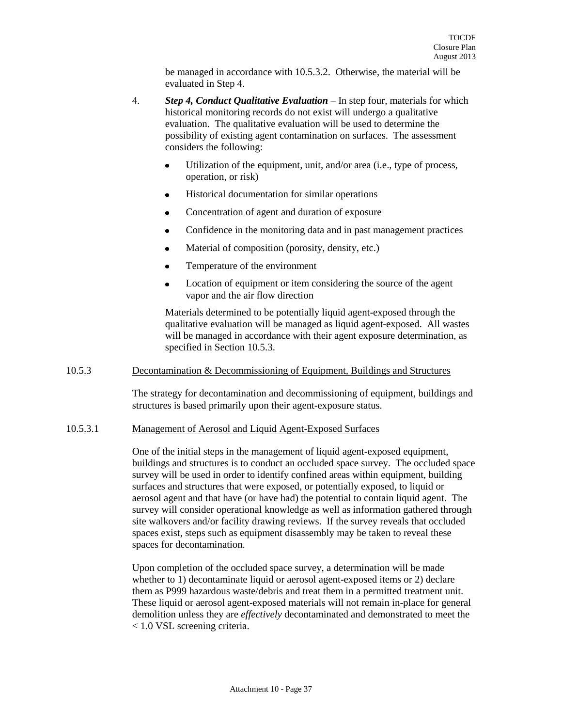be managed in accordance with 10.5.3.2. Otherwise, the material will be evaluated in Step 4.

- 4. *Step 4, Conduct Qualitative Evaluation*  In step four, materials for which historical monitoring records do not exist will undergo a qualitative evaluation. The qualitative evaluation will be used to determine the possibility of existing agent contamination on surfaces. The assessment considers the following:
	- Utilization of the equipment, unit, and/or area (i.e., type of process,  $\bullet$ operation, or risk)
	- Historical documentation for similar operations
	- Concentration of agent and duration of exposure  $\bullet$
	- $\bullet$ Confidence in the monitoring data and in past management practices
	- Material of composition (porosity, density, etc.)  $\bullet$
	- Temperature of the environment  $\bullet$
	- Location of equipment or item considering the source of the agent vapor and the air flow direction

Materials determined to be potentially liquid agent-exposed through the qualitative evaluation will be managed as liquid agent-exposed. All wastes will be managed in accordance with their agent exposure determination, as specified in Section 10.5.3.

## <span id="page-36-0"></span>10.5.3 Decontamination & Decommissioning of Equipment, Buildings and Structures

The strategy for decontamination and decommissioning of equipment, buildings and structures is based primarily upon their agent-exposure status.

#### 10.5.3.1 Management of Aerosol and Liquid Agent-Exposed Surfaces

One of the initial steps in the management of liquid agent-exposed equipment, buildings and structures is to conduct an occluded space survey. The occluded space survey will be used in order to identify confined areas within equipment, building surfaces and structures that were exposed, or potentially exposed, to liquid or aerosol agent and that have (or have had) the potential to contain liquid agent. The survey will consider operational knowledge as well as information gathered through site walkovers and/or facility drawing reviews. If the survey reveals that occluded spaces exist, steps such as equipment disassembly may be taken to reveal these spaces for decontamination.

Upon completion of the occluded space survey, a determination will be made whether to 1) decontaminate liquid or aerosol agent-exposed items or 2) declare them as P999 hazardous waste/debris and treat them in a permitted treatment unit. These liquid or aerosol agent-exposed materials will not remain in-place for general demolition unless they are *effectively* decontaminated and demonstrated to meet the < 1.0 VSL screening criteria.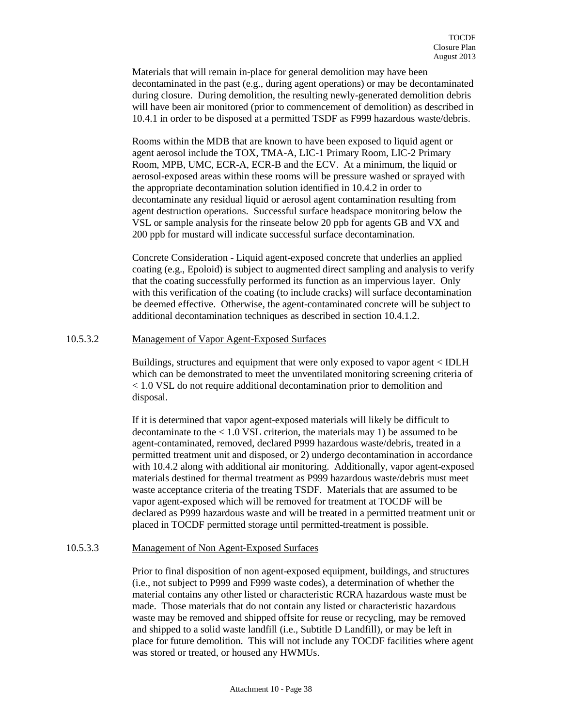Materials that will remain in-place for general demolition may have been decontaminated in the past (e.g., during agent operations) or may be decontaminated during closure. During demolition, the resulting newly-generated demolition debris will have been air monitored (prior to commencement of demolition) as described in 10.4.1 in order to be disposed at a permitted TSDF as F999 hazardous waste/debris.

Rooms within the MDB that are known to have been exposed to liquid agent or agent aerosol include the TOX, TMA-A, LIC-1 Primary Room, LIC-2 Primary Room, MPB, UMC, ECR-A, ECR-B and the ECV. At a minimum, the liquid or aerosol-exposed areas within these rooms will be pressure washed or sprayed with the appropriate decontamination solution identified in 10.4.2 in order to decontaminate any residual liquid or aerosol agent contamination resulting from agent destruction operations. Successful surface headspace monitoring below the VSL or sample analysis for the rinseate below 20 ppb for agents GB and VX and 200 ppb for mustard will indicate successful surface decontamination.

Concrete Consideration - Liquid agent-exposed concrete that underlies an applied coating (e.g., Epoloid) is subject to augmented direct sampling and analysis to verify that the coating successfully performed its function as an impervious layer. Only with this verification of the coating (to include cracks) will surface decontamination be deemed effective. Otherwise, the agent-contaminated concrete will be subject to additional decontamination techniques as described in section 10.4.1.2.

## 10.5.3.2 Management of Vapor Agent-Exposed Surfaces

Buildings, structures and equipment that were only exposed to vapor agent < IDLH which can be demonstrated to meet the unventilated monitoring screening criteria of < 1.0 VSL do not require additional decontamination prior to demolition and disposal.

If it is determined that vapor agent-exposed materials will likely be difficult to decontaminate to the  $< 1.0$  VSL criterion, the materials may 1) be assumed to be agent-contaminated, removed, declared P999 hazardous waste/debris, treated in a permitted treatment unit and disposed, or 2) undergo decontamination in accordance with 10.4.2 along with additional air monitoring. Additionally, vapor agent-exposed materials destined for thermal treatment as P999 hazardous waste/debris must meet waste acceptance criteria of the treating TSDF. Materials that are assumed to be vapor agent-exposed which will be removed for treatment at TOCDF will be declared as P999 hazardous waste and will be treated in a permitted treatment unit or placed in TOCDF permitted storage until permitted-treatment is possible.

#### 10.5.3.3 Management of Non Agent-Exposed Surfaces

Prior to final disposition of non agent-exposed equipment, buildings, and structures (i.e., not subject to P999 and F999 waste codes), a determination of whether the material contains any other listed or characteristic RCRA hazardous waste must be made. Those materials that do not contain any listed or characteristic hazardous waste may be removed and shipped offsite for reuse or recycling, may be removed and shipped to a solid waste landfill (i.e., Subtitle D Landfill), or may be left in place for future demolition. This will not include any TOCDF facilities where agent was stored or treated, or housed any HWMUs.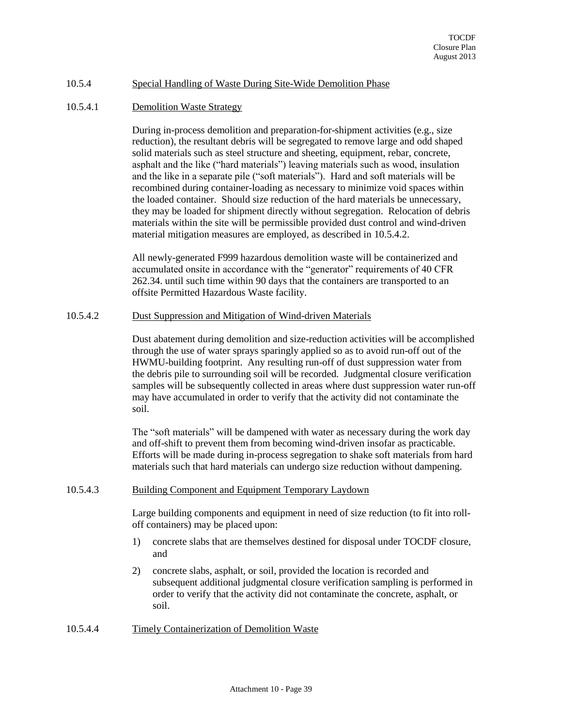#### <span id="page-38-0"></span>10.5.4 Special Handling of Waste During Site-Wide Demolition Phase

#### 10.5.4.1 Demolition Waste Strategy

During in-process demolition and preparation-for-shipment activities (e.g., size reduction), the resultant debris will be segregated to remove large and odd shaped solid materials such as steel structure and sheeting, equipment, rebar, concrete, asphalt and the like ("hard materials") leaving materials such as wood, insulation and the like in a separate pile ("soft materials"). Hard and soft materials will be recombined during container-loading as necessary to minimize void spaces within the loaded container. Should size reduction of the hard materials be unnecessary, they may be loaded for shipment directly without segregation. Relocation of debris materials within the site will be permissible provided dust control and wind-driven material mitigation measures are employed, as described in 10.5.4.2.

All newly-generated F999 hazardous demolition waste will be containerized and accumulated onsite in accordance with the "generator" requirements of 40 CFR 262.34. until such time within 90 days that the containers are transported to an offsite Permitted Hazardous Waste facility.

#### 10.5.4.2 Dust Suppression and Mitigation of Wind-driven Materials

Dust abatement during demolition and size-reduction activities will be accomplished through the use of water sprays sparingly applied so as to avoid run-off out of the HWMU-building footprint. Any resulting run-off of dust suppression water from the debris pile to surrounding soil will be recorded. Judgmental closure verification samples will be subsequently collected in areas where dust suppression water run-off may have accumulated in order to verify that the activity did not contaminate the soil.

The "soft materials" will be dampened with water as necessary during the work day and off-shift to prevent them from becoming wind-driven insofar as practicable. Efforts will be made during in-process segregation to shake soft materials from hard materials such that hard materials can undergo size reduction without dampening.

#### 10.5.4.3 Building Component and Equipment Temporary Laydown

Large building components and equipment in need of size reduction (to fit into rolloff containers) may be placed upon:

- 1) concrete slabs that are themselves destined for disposal under TOCDF closure, and
- 2) concrete slabs, asphalt, or soil, provided the location is recorded and subsequent additional judgmental closure verification sampling is performed in order to verify that the activity did not contaminate the concrete, asphalt, or soil.

10.5.4.4 Timely Containerization of Demolition Waste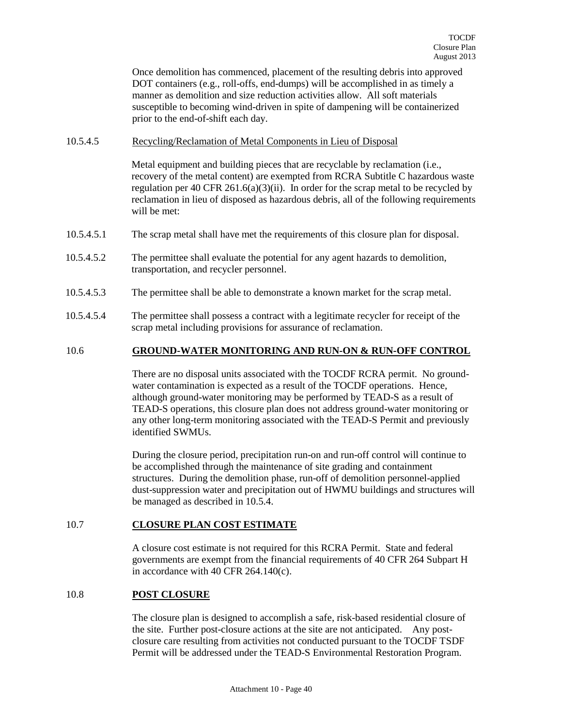Once demolition has commenced, placement of the resulting debris into approved DOT containers (e.g., roll-offs, end-dumps) will be accomplished in as timely a manner as demolition and size reduction activities allow. All soft materials susceptible to becoming wind-driven in spite of dampening will be containerized prior to the end-of-shift each day.

#### 10.5.4.5 Recycling/Reclamation of Metal Components in Lieu of Disposal

Metal equipment and building pieces that are recyclable by reclamation (i.e., recovery of the metal content) are exempted from RCRA Subtitle C hazardous waste regulation per 40 CFR 261.6(a)(3)(ii). In order for the scrap metal to be recycled by reclamation in lieu of disposed as hazardous debris, all of the following requirements will be met:

- 10.5.4.5.1 The scrap metal shall have met the requirements of this closure plan for disposal.
- 10.5.4.5.2 The permittee shall evaluate the potential for any agent hazards to demolition, transportation, and recycler personnel.
- 10.5.4.5.3 The permittee shall be able to demonstrate a known market for the scrap metal.
- 10.5.4.5.4 The permittee shall possess a contract with a legitimate recycler for receipt of the scrap metal including provisions for assurance of reclamation.

#### <span id="page-39-0"></span>10.6 **GROUND-WATER MONITORING AND RUN-ON & RUN-OFF CONTROL**

There are no disposal units associated with the TOCDF RCRA permit. No groundwater contamination is expected as a result of the TOCDF operations. Hence, although ground-water monitoring may be performed by TEAD-S as a result of TEAD-S operations, this closure plan does not address ground-water monitoring or any other long-term monitoring associated with the TEAD-S Permit and previously identified SWMUs.

During the closure period, precipitation run-on and run-off control will continue to be accomplished through the maintenance of site grading and containment structures. During the demolition phase, run-off of demolition personnel-applied dust-suppression water and precipitation out of HWMU buildings and structures will be managed as described in 10.5.4.

## <span id="page-39-1"></span>10.7 **CLOSURE PLAN COST ESTIMATE**

A closure cost estimate is not required for this RCRA Permit. State and federal governments are exempt from the financial requirements of 40 CFR 264 Subpart H in accordance with 40 CFR 264.140(c).

## <span id="page-39-2"></span>10.8 **POST CLOSURE**

The closure plan is designed to accomplish a safe, risk-based residential closure of the site. Further post-closure actions at the site are not anticipated. Any postclosure care resulting from activities not conducted pursuant to the TOCDF TSDF Permit will be addressed under the TEAD-S Environmental Restoration Program.